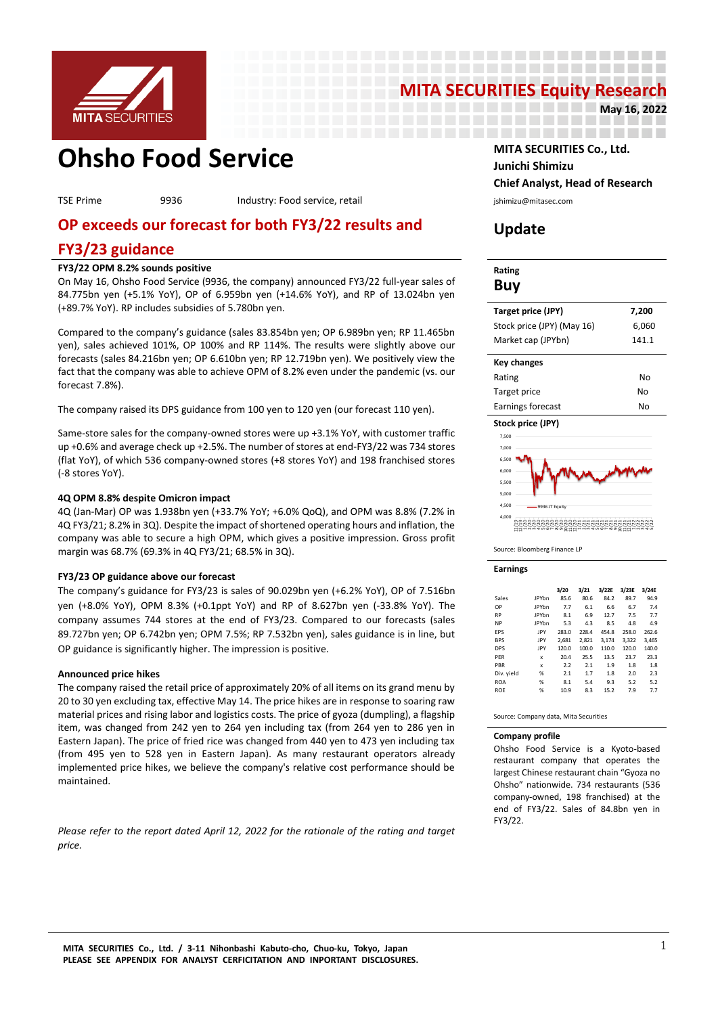

# **MITA SECURITIES Equity Research**<br>May 16, 2022

--------------------

-----------------

**May 16, 2022**

# **Ohsho Food Service MITA SECURITIES Co., Ltd.**

TSE Prime 9936 Industry: Food service, retail interventional physiology is interventiasec.com

# **OP exceeds our forecast for both FY3/22 results and**

# **FY3/23 guidance**

# **FY3/22 OPM 8.2% sounds positive**

On May 16, Ohsho Food Service (9936, the company) announced FY3/22 full-year sales of 84.775bn yen (+5.1% YoY), OP of 6.959bn yen (+14.6% YoY), and RP of 13.024bn yen (+89.7% YoY). RP includes subsidies of 5.780bn yen.

Compared to the company's guidance (sales 83.854bn yen; OP 6.989bn yen; RP 11.465bn yen), sales achieved 101%, OP 100% and RP 114%. The results were slightly above our forecasts (sales 84.216bn yen; OP 6.610bn yen; RP 12.719bn yen). We positively view the fact that the company was able to achieve OPM of 8.2% even under the pandemic (vs. our forecast 7.8%).

The company raised its DPS guidance from 100 yen to 120 yen (our forecast 110 yen).

Same-store sales for the company-owned stores were up +3.1% YoY, with customer traffic up +0.6% and average check up +2.5%. The number of stores at end-FY3/22 was 734 stores (flat YoY), of which 536 company-owned stores (+8 stores YoY) and 198 franchised stores (-8 stores YoY).

# **4Q OPM 8.8% despite Omicron impact**

4Q (Jan-Mar) OP was 1.938bn yen (+33.7% YoY; +6.0% QoQ), and OPM was 8.8% (7.2% in 4Q FY3/21; 8.2% in 3Q). Despite the impact of shortened operating hours and inflation, the company was able to secure a high OPM, which gives a positive impression. Gross profit margin was 68.7% (69.3% in 4Q FY3/21; 68.5% in 3Q).

# **FY3/23 OP guidance above our forecast**

The company's guidance for FY3/23 is sales of 90.029bn yen (+6.2% YoY), OP of 7.516bn yen (+8.0% YoY), OPM 8.3% (+0.1ppt YoY) and RP of 8.627bn yen (-33.8% YoY). The company assumes 744 stores at the end of FY3/23. Compared to our forecasts (sales 89.727bn yen; OP 6.742bn yen; OPM 7.5%; RP 7.532bn yen), sales guidance is in line, but OP guidance is significantly higher. The impression is positive.

# **Announced price hikes**

The company raised the retail price of approximately 20% of all items on its grand menu by 20 to 30 yen excluding tax, effective May 14. The price hikes are in response to soaring raw material prices and rising labor and logistics costs. The price of gyoza (dumpling), a flagship item, was changed from 242 yen to 264 yen including tax (from 264 yen to 286 yen in Eastern Japan). The price of fried rice was changed from 440 yen to 473 yen including tax (from 495 yen to 528 yen in Eastern Japan). As many restaurant operators already implemented price hikes, we believe the company's relative cost performance should be maintained.

*Please refer to the report dated April 12, 2022 for the rationale of the rating and target price.* 

**Junichi Shimizu Chief Analyst, Head of Research**

# **Update**

-------------------

# **Rating Buy Target price (JPY) 7,200** Stock price (JPY) (May 16) 6,060 Market cap (JPYbn) 141.1 **Key changes** Rating No

| Target price      | No |
|-------------------|----|
| Earnings forecast | Nο |
|                   |    |



Source: Bloomberg Finance LP

#### **Earnings**

|            |              | 3/20  | 3/21  | 3/22E | 3/23E | 3/24E |
|------------|--------------|-------|-------|-------|-------|-------|
| Sales      | <b>IPYbn</b> | 85.6  | 80.6  | 84.2  | 89.7  | 94.9  |
| OP         | <b>IPYbn</b> | 7.7   | 6.1   | 6.6   | 6.7   | 7.4   |
| <b>RP</b>  | <b>IPYbn</b> | 8.1   | 6.9   | 12.7  | 7.5   | 7.7   |
| <b>NP</b>  | <b>IPYbn</b> | 5.3   | 4.3   | 8.5   | 4.8   | 4.9   |
| <b>FPS</b> | IPY          | 283.0 | 228.4 | 454.8 | 258.0 | 262.6 |
| <b>BPS</b> | IPY          | 2.681 | 2.821 | 3.174 | 3.322 | 3.465 |
| <b>DPS</b> | IPY          | 120.0 | 100.0 | 110.0 | 120.0 | 140.0 |
| PFR        | x            | 20.4  | 25.5  | 13.5  | 23.7  | 23.3  |
| PBR        | x            | 2.2   | 2.1   | 1.9   | 1.8   | 1.8   |
| Div. yield | %            | 2.1   | 1.7   | 1.8   | 2.0   | 2.3   |
| <b>ROA</b> | %            | 8.1   | 5.4   | 9.3   | 5.2   | 5.2   |
| <b>ROE</b> | %            | 10.9  | 8.3   | 15.2  | 7.9   | 7.7   |
|            |              |       |       |       |       |       |

Source: Company data, Mita Securities

### **Company profile**

Ohsho Food Service is a Kyoto-based restaurant company that operates the largest Chinese restaurant chain "Gyoza no Ohsho" nationwide. 734 restaurants (536 company-owned, 198 franchised) at the end of FY3/22. Sales of 84.8bn yen in FY3/22.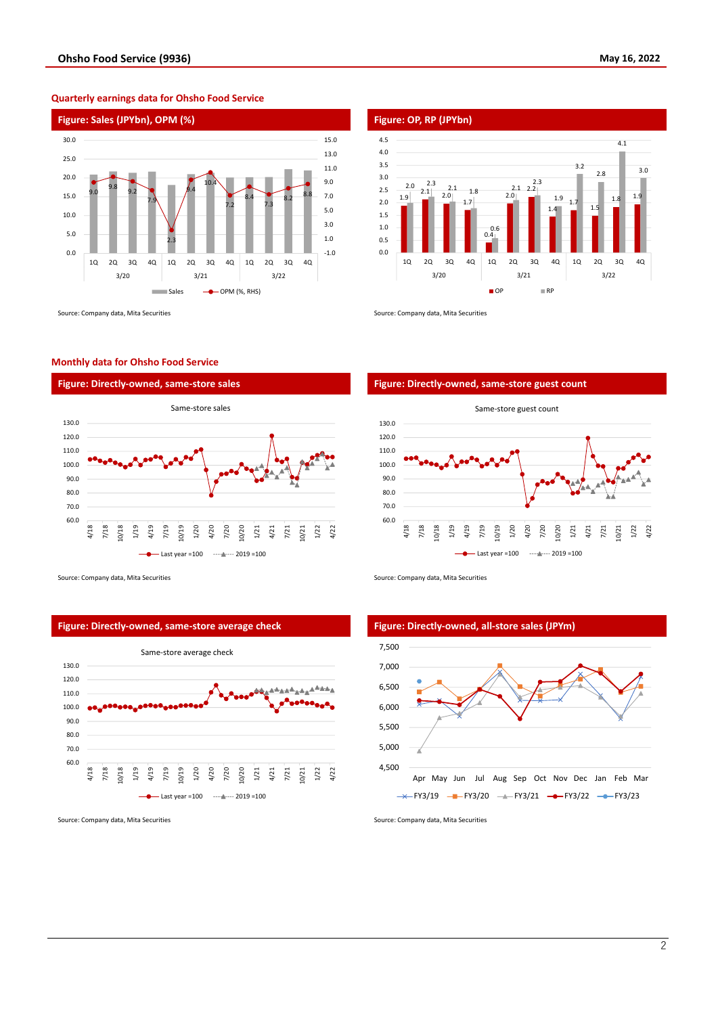#### **Figure: Sales (JPYbn), OPM (%) Figure: OP, RP (JPYbn)** 9.0 9.8  $9.2$ 7.9 2.3 9.4  $10.4$ 7.2 8.4 7.3  $8.2$   $8.8$ -1.0 1.0 3.0 5.0 7.0 9.0 11.0 13.0 15.0 0.0 5.0 10.0 15.0 20.0 25.0 30.0 1Q 2Q 3Q 4Q 1Q 2Q 3Q 4Q 1Q 2Q 3Q 4Q 3/20 3/21 3/22  $Sales$   $\rightarrow$  OPM (%, RHS)

**Quarterly earnings data for Ohsho Food Service**



## **Monthly data for Ohsho Food Service**



Source: Company data, Mita Securities Source: Company data, Mita Securities Source: Company data, Mita Securities





Source: Company data, Mita Securities Source: Company data, Mita Securities Source: Company data, Mita Securities





Source: Company data, Mita Securities Source: Company data, Mita Securities Source: Company data, Mita Securities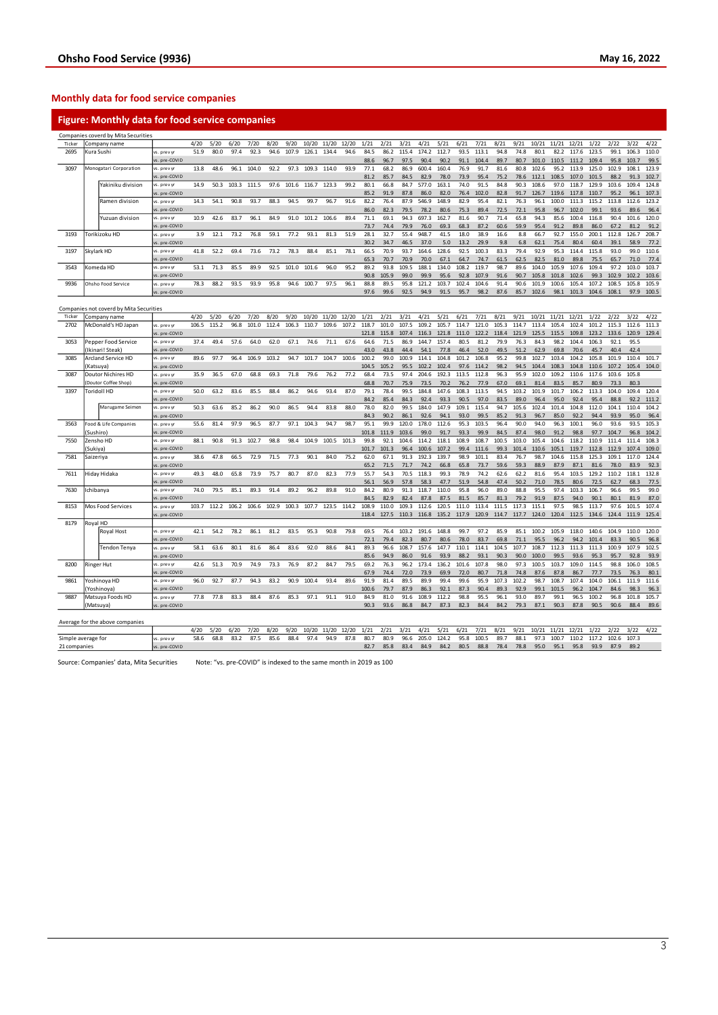# **Monthly data for food service companies**

# **Figure: Monthly data for food service companies**

|        |           | Companies coverd by Mita Securities     |               |       |       |       |       |       |       |       |       |       |       |       |       |       |       |       |       |       |       |       |       |       |       |       |       |       |
|--------|-----------|-----------------------------------------|---------------|-------|-------|-------|-------|-------|-------|-------|-------|-------|-------|-------|-------|-------|-------|-------|-------|-------|-------|-------|-------|-------|-------|-------|-------|-------|
| Ticker |           | Company name                            |               | 4/20  | 5/20  | 6/20  | 7/20  | 8/20  | 9/20  | 10/20 | 11/20 | 12/20 | 1/21  | 2/21  | 3/21  | 4/21  | 5/21  | 6/21  | 7/21  | 8/21  | 9/21  | 10/21 | 11/21 | 12/21 | 1/22  | 2/22  | 3/22  | 4/22  |
| 2695   |           | Kura Sushi                              | vs. prev yr   | 51.9  | 80.0  | 97.4  | 92.3  | 94.6  | 107.9 | 126.1 | 134.4 | 94.6  | 84.5  | 86.2  | 115.4 | 174.2 | 112.7 | 93.5  | 113.1 | 94.8  | 74.8  | 80.1  | 82.2  | 117.6 | 123.5 | 99.1  | 106.3 | 110.0 |
|        |           |                                         | vs. pre-COVID |       |       |       |       |       |       |       |       |       | 88.6  | 96.7  | 97.5  | 90.4  | 90.2  | 91.1  | 104.4 | 89.7  | 80.7  | 101.0 | 110.5 | 111.2 | 109.4 | 95.8  | 103.7 | 99.5  |
| 3097   |           | Monogatari Corporation                  | vs. prev yr   | 13.8  | 48.6  | 96.1  | 104.0 | 92.2  | 97.3  | 109.3 | 114.0 | 93.9  | 77.1  | 68.2  | 86.9  | 600.4 | 160.4 | 76.9  | 91.7  | 81.6  | 80.8  | 102.6 | 95.2  | 113.9 | 125.0 | 102.9 | 108.1 | 123.9 |
|        |           |                                         | vs. pre-COVID |       |       |       |       |       |       |       |       |       | 81.2  | 85.7  | 84.5  | 82.9  | 78.0  | 73.9  | 95.4  | 75.2  | 78.6  | 112.1 | 108.5 | 107.0 | 101.5 | 88.2  | 91.3  | 102.7 |
|        |           | Yakiniku division                       | vs. prev vi   | 14.9  | 50.3  | 103.3 | 111.5 | 97.6  | 101.6 | 116.7 | 123.3 | 99.2  | 80.1  | 66.8  | 84.7  | 577.0 | 163.1 | 74.0  | 91.5  | 84.8  | 90.3  | 108.6 | 97.0  | 118.7 | 129.9 | 103.6 | 109.4 | 124.8 |
|        |           |                                         | vs. pre-COVID |       |       |       |       |       |       |       |       |       | 85.2  | 91.9  | 87.8  | 86.0  | 82.0  | 76.4  | 102.0 | 82.8  | 91.7  | 126.7 | 119.6 | 117.8 | 110.7 | 95.2  | 96.1  | 107.3 |
|        |           | Ramen division                          | vs. prev vi   | 14.3  | 54.1  | 90.8  | 93.7  | 88.3  | 94.5  | 99.7  | 96.7  | 91.6  | 82.2  | 76.4  | 87.9  | 546.9 | 148.9 | 82.9  | 95.4  | 82.1  | 76.3  | 96.1  | 100.0 | 111.3 | 115.2 | 113.8 | 112.6 | 123.2 |
|        |           |                                         | vs. pre-COVID |       |       |       |       |       |       |       |       |       | 86.0  | 82.3  | 79.5  | 78.2  | 80.6  | 75.3  | 89.4  | 72.5  | 72.1  | 95.8  | 96.7  | 102.0 | 99.1  | 93.6  | 89.6  | 96.4  |
|        |           | Yuzuan division                         | vs. prev yr   | 10.9  | 42.6  | 83.7  | 96.1  | 84.9  | 91.0  | 101.2 | 106.6 | 89.4  | 71.1  | 69.1  | 94.3  | 697.3 | 162.7 | 81.6  | 90.7  | 71.4  | 65.8  | 94.3  | 85.6  | 100.4 | 116.8 | 90.4  | 101.6 | 120.0 |
|        |           |                                         | vs. pre-COVID |       |       |       |       |       |       |       |       |       | 73.7  | 74.4  | 79.9  | 76.0  | 69.3  | 68.3  | 87.2  | 60.6  | 59.9  | 95.4  | 91.2  | 89.8  | 86.0  | 67.2  | 81.2  | 91.2  |
|        |           |                                         |               |       |       |       |       |       |       |       |       |       |       |       |       |       |       |       |       |       |       |       |       |       |       |       |       |       |
| 3193   |           | Torikizoku HD                           | vs. prev yr   | 3.9   | 12.1  | 73.2  | 76.8  | 59.1  | 77.2  | 93.1  | 81.3  | 51.9  | 28.1  | 32.7  | 55.4  | 948.7 | 41.5  | 18.0  | 38.9  | 16.6  | 8.8   | 66.7  | 92.7  | 155.0 | 200.1 | 112.8 | 126.7 | 208.7 |
|        |           |                                         | s. pre-COVID  |       |       |       |       |       |       |       |       |       | 30.2  | 34.7  | 46.5  | 37.0  | 5.0   | 13.2  | 29.9  | 9.8   | 6.8   | 62.1  | 75.4  | 80.4  | 60.4  | 39.1  | 58.9  | 77.2  |
| 3197   |           | Skylark HD                              | vs. prev yr   | 41.8  | 52.2  | 69.4  | 73.6  | 73.2  | 78.3  | 88.4  | 85.1  | 78.1  | 66.5  | 70.9  | 93.7  | 164.6 | 128.6 | 92.5  | 100.3 | 83.3  | 79.4  | 92.9  | 95.3  | 114.4 | 115.8 | 93.0  | 99.0  | 110.6 |
|        |           |                                         | vs. pre-COVID |       |       |       |       |       |       |       |       |       | 65.3  | 70.7  | 70.9  | 70.0  | 67.1  | 64.7  | 74.7  | 61.5  | 62.5  | 82.5  | 81.0  | 89.8  | 75.5  | 65.7  | 71.0  | 77.4  |
| 3543   |           | Komeda HD                               | vs. prev yr   | 53.1  | 71.3  | 85.5  | 89.9  | 92.5  | 101.0 | 101.6 | 96.0  | 95.2  | 89.2  | 93.8  | 109.5 | 188.1 | 134.0 | 108.2 | 119.7 | 98.7  | 89.6  | 104.0 | 105.9 | 107.6 | 109.4 | 97.2  | 103.0 | 103.7 |
|        |           |                                         | s. pre-COVID  |       |       |       |       |       |       |       |       |       | 90.8  | 105.9 | 99.0  | 99.9  | 95.6  | 92.8  | 107.9 | 91.6  | 90.7  | 105.8 | 101.8 | 102.6 | 99.3  | 102.9 | 102.2 | 103.6 |
| 9936   |           | Ohsho Food Service                      | vs. prev vr   | 78.3  | 88.2  | 93.5  | 93.9  | 95.8  | 94.6  | 100.7 | 97.5  | 96.1  | 88.8  | 89.5  | 95.8  | 121.2 | 103.7 | 102.4 | 104.6 | 91.4  | 90.6  | 101.9 | 100.6 | 105.4 | 107.2 | 108.5 | 105.8 | 105.9 |
|        |           |                                         | vs. pre-COVID |       |       |       |       |       |       |       |       |       | 97.6  | 99.6  | 92.5  | 94.9  | 91.5  | 95.7  | 98.2  | 87.6  | 85.7  | 102.6 | 98.1  | 101.3 | 104.6 | 108.1 | 97.9  | 100.5 |
|        |           |                                         |               |       |       |       |       |       |       |       |       |       |       |       |       |       |       |       |       |       |       |       |       |       |       |       |       |       |
|        |           | Companies not coverd by Mita Securities |               |       |       |       |       |       |       |       |       |       |       |       |       |       |       |       |       |       |       |       |       |       |       |       |       |       |
| Ticker |           | Company name                            |               | 4/20  | 5/20  | 6/20  | 7/20  | 8/20  | 9/20  | 10/20 | 11/20 | 12/20 | 1/21  | 2/21  | 3/21  | 4/21  | 5/21  | 6/21  | 7/21  | 8/21  | 9/21  | 10/21 | 11/21 | 12/21 | 1/22  | 2/22  | 3/22  | 4/22  |
| 2702   |           | McDonald's HD Japar                     | vs. prev yr   | 106.5 | 115.2 | 96.8  | 101.0 | 112.4 | 106.3 | 110.7 | 109.6 | 107.2 | 118.7 | 101.0 | 107.5 | 109.2 | 105.7 | 114.7 | 121.0 | 105.3 | 114.7 | 113.4 | 105.4 | 102.4 | 101.2 | 115.3 | 112.6 | 111.3 |
|        |           |                                         | vs. pre-COVID |       |       |       |       |       |       |       |       |       | 121.8 | 115.8 | 107.4 | 116.3 | 121.8 | 111.0 | 122.2 | 118.4 | 121.9 | 125.5 | 115.5 | 109.8 | 123.2 | 133.6 | 120.9 | 129.4 |
| 3053   |           | Pepper Food Service                     | vs. prev yr   | 37.4  | 49.4  | 57.6  | 64.0  | 62.0  | 67.1  | 74.6  | 71.1  | 67.6  | 64.6  | 71.5  | 86.9  | 144.7 | 157.4 | 80.5  | 81.2  | 79.9  | 76.3  | 84.3  | 98.2  | 104.4 | 106.3 | 92.1  | 95.5  |       |
|        |           | Ikinari! Steak)                         | s. pre-COVID  |       |       |       |       |       |       |       |       |       | 43.0  | 43.8  | 44.4  | 54.1  | 77.8  | 46.4  | 52.0  | 49.5  | 51.2  | 62.9  | 69.8  | 70.6  | 45.7  | 40.4  | 42.4  |       |
| 3085   |           | <b>Arcland Service HD</b>               | vs. prev yr   | 89.6  | 97.7  | 96.4  | 106.9 | 103.2 | 94.7  | 101.7 | 104.7 | 100.6 | 100.2 | 99.0  | 100.9 | 114.1 | 104.8 | 101.2 | 106.8 | 95.2  | 99.8  | 102.7 | 103.4 | 104.2 | 105.8 | 101.9 | 110.4 | 101.7 |
|        |           | Katsuya)                                | vs. pre-COVID |       |       |       |       |       |       |       |       |       | 104.5 | 105.2 | 95.5  | 102.2 | 102.4 | 97.6  | 114.2 | 98.2  | 94.5  | 104.4 | 108.3 | 104.8 | 110.6 | 107.2 | 105.4 | 104.0 |
| 3087   |           | <b>Doutor Nichires HD</b>               | vs. prev yr   | 35.9  | 36.5  | 67.0  | 68.8  | 69.3  | 71.8  | 79.6  | 76.2  | 77.2  | 68.4  | 73.5  | 97.4  | 204.6 | 192.3 | 113.5 | 112.8 | 96.3  | 95.9  | 102.0 | 109.2 | 110.6 | 117.6 | 103.6 | 105.8 |       |
|        |           | Doutor Coffee Shop]                     | s. pre-COVID  |       |       |       |       |       |       |       |       |       | 68.8  | 70.7  | 75.9  | 73.5  | 70.2  | 76.2  | 77.9  | 67.0  | 69.1  | 81.4  | 83.5  | 85.7  | 80.9  | 73.3  | 80.3  |       |
| 3397   |           | Toridoll HD                             | vs. prev yr   | 50.0  | 63.2  | 83.6  | 85.5  | 88.4  | 86.2  | 94.6  | 93.4  | 87.0  | 79.1  | 78.4  | 99.5  | 184.8 | 147.6 | 108.3 | 113.5 | 94.5  | 103.2 | 101.9 | 101.7 | 106.2 | 113.3 | 104.0 | 109.4 | 120.4 |
|        |           |                                         | s. pre-COVID  |       |       |       |       |       |       |       |       |       | 84.2  | 85.4  | 84.3  | 92.4  | 93.3  | 90.5  | 97.0  | 83.5  | 89.0  | 96.4  | 95.0  | 92.4  | 95.4  | 88.8  | 92.2  | 111.2 |
|        |           | Marugame Seimen                         | vs. prev yr   | 50.3  | 63.6  | 85.2  | 86.2  | 90.0  | 86.5  | 94.4  | 83.8  | 88.0  | 78.0  | 82.0  | 99.5  | 184.0 | 147.9 | 109.1 | 115.4 | 94.7  | 105.6 | 102.4 | 101.4 | 104.8 | 112.0 | 104.1 | 110.4 | 104.2 |
|        |           |                                         | vs. pre-COVID |       |       |       |       |       |       |       |       |       | 84.3  | 90.2  | 86.1  | 92.6  | 94.1  | 93.0  | 99.5  | 85.2  | 91.3  | 96.7  | 85.0  | 92.2  | 94.4  | 93.9  | 95.0  | 96.4  |
| 3563   |           | Food & Life Companies                   | vs. prev vr   | 55.6  | 81.4  | 97.9  | 96.5  | 87.7  | 97.1  | 104.3 | 94.7  | 98.7  | 95.1  | 99.9  | 120.0 | 178.0 | 112.6 | 95.3  | 103.5 | 96.4  | 90.0  | 94.0  | 96.3  | 100.1 | 96.0  | 93.6  | 93.5  | 105.3 |
|        | Sushiro)  |                                         |               |       |       |       |       |       |       |       |       |       | 101.8 | 111.9 | 103.6 | 99.0  | 91.7  | 93.3  | 99.9  | 84.5  | 87.4  | 98.0  | 91.2  | 98.8  | 97.7  | 104.7 | 96.8  | 104.2 |
|        |           |                                         | vs. pre-COVID | 88.1  |       |       |       |       |       |       |       |       | 99.8  | 92.1  | 104.6 | 114.2 | 118.1 | 108.9 | 108.7 | 100.5 | 103.0 | 105.4 | 104.6 | 118.2 | 110.9 | 111.4 | 111.4 | 108.3 |
| 7550   |           | Zensho HD                               | vs. prev vr   |       | 90.8  | 91.3  | 102.7 | 98.8  | 98.4  | 104.9 | 100.5 | 101.3 |       |       |       |       |       |       |       |       |       |       |       |       |       |       |       |       |
|        | Sukiya)   |                                         | vs. pre-COVID |       |       |       |       |       |       |       |       |       | 101.7 | 101.3 | 96.4  | 100.6 | 107.2 | 99.4  | 111.6 | 99.3  | 101.4 | 110.6 | 105.1 | 119.7 | 112.8 | 112.9 | 107.4 | 109.0 |
| 7581   | Saizeriya |                                         | vs. prev yr   | 38.6  | 47.8  | 66.5  | 72.9  | 71.5  | 77.3  | 90.1  | 84.0  | 75.2  | 62.0  | 67.1  | 91.3  | 192.3 | 139.7 | 98.9  | 101.1 | 83.4  | 76.7  | 98.7  | 104.6 | 115.8 | 125.3 | 109.1 | 117.0 | 124.4 |
|        |           |                                         | s. pre-COVID  |       |       |       |       |       |       |       |       |       | 65.2  | 71.5  | 71.7  | 74.2  | 66.8  | 65.8  | 73.7  | 59.6  | 59.3  | 88.9  | 87.9  | 87.1  | 81.6  | 78.0  | 83.9  | 92.3  |
| 7611   |           | Hiday Hidaka                            | vs. prev yr   | 49.3  | 48.0  | 65.8  | 73.9  | 75.7  | 80.7  | 87.0  | 82.3  | 77.9  | 55.7  | 54.3  | 70.5  | 118.3 | 99.3  | 78.9  | 74.2  | 62.6  | 62.2  | 81.6  | 95.4  | 103.5 | 129.2 | 110.2 | 118.1 | 132.8 |
|        |           |                                         | vs. pre-COVID |       |       |       |       |       |       |       |       |       | 56.1  | 56.9  | 57.8  | 58.3  | 47.7  | 51.9  | 54.8  | 47.4  | 50.2  | 71.0  | 78.5  | 80.6  | 72.5  | 62.7  | 68.3  | 77.5  |
| 7630   |           | chibanya                                | rs. prev yr   | 74.0  | 79.5  | 85.1  | 89.3  | 91.4  | 89.2  | 96.2  | 89.8  | 91.0  | 84.2  | 80.9  | 91.3  | 118.7 | 110.0 | 95.8  | 96.0  | 89.0  | 88.8  | 95.5  | 97.4  | 103.3 | 106.7 | 96.6  | 99.5  | 99.0  |
|        |           |                                         | vs. pre-COVID |       |       |       |       |       |       |       |       |       | 84.5  | 82.9  | 82.4  | 87.8  | 87.5  | 81.5  | 85.7  | 81.3  | 79.2  | 91.9  | 87.5  | 94.0  | 90.1  | 80.1  | 81.9  | 87.0  |
| 8153   |           | Mos Food Services                       | rs. prev yr   | 103.7 | 112.2 | 106.2 | 106.6 | 102.9 | 100.3 | 107.7 | 123.5 | 114.2 | 108.9 | 110.0 | 109.3 | 112.6 | 120.5 | 111.0 | 113.4 | 111.5 | 117.3 | 115.1 | 97.5  | 98.5  | 113.7 | 97.6  | 101.5 | 107.4 |
|        |           |                                         | vs. pre-COVID |       |       |       |       |       |       |       |       |       | 118.4 | 127.5 | 110.3 | 116.8 | 135.2 | 117.9 | 120.9 | 114.7 | 117.7 | 124.0 | 120.4 | 112.5 | 134.6 | 124.4 | 111.9 | 125.4 |
| 8179   | Royal HD  |                                         |               |       |       |       |       |       |       |       |       |       |       |       |       |       |       |       |       |       |       |       |       |       |       |       |       |       |
|        |           | Royal Host                              | vs. prev vr   | 42.1  | 54.2  | 78.2  | 86.1  | 81.2  | 83.5  | 95.3  | 90.8  | 79.8  | 69.5  | 76.4  | 103.2 | 191.6 | 148.8 | 99.7  | 97.2  | 85.9  | 85.1  | 100.2 | 105.9 | 118.0 | 140.6 | 104.9 | 110.0 | 120.0 |
|        |           |                                         | s. pre-COVID  |       |       |       |       |       |       |       |       |       | 72.1  | 79.4  | 82.3  | 80.7  | 80.6  | 78.0  | 83.7  | 69.8  | 71.1  | 95.5  | 96.2  | 94.2  | 101.4 | 83.3  | 90.5  | 96.8  |
|        |           | Tendon Tenya                            | vs. prev vr   | 58.1  | 63.6  | 80.1  | 81.6  | 86.4  | 83.6  | 92.0  | 88.6  | 84.1  | 89.3  | 96.6  | 108.7 | 157.6 | 147.7 | 110.1 | 114.1 | 104.5 | 107.7 | 108.7 | 112.3 | 111.3 | 111.3 | 100.9 | 107.9 | 102.5 |
|        |           |                                         | vs. pre-COVID |       |       |       |       |       |       |       |       |       | 85.6  | 94.9  | 86.0  | 91.6  | 93.9  | 88.2  | 93.1  | 90.3  | 90.0  | 100.0 | 99.5  | 93.6  | 95.3  | 95.7  | 92.8  | 93.9  |
| 8200   |           | Ringer Hut                              | vs. prev vr   | 42.6  | 51.3  | 70.9  | 74.9  | 73.3  | 76.9  | 87.2  | 84.7  | 79.5  | 69.2  | 76.3  | 96.2  | 173.4 | 136.2 | 101.6 | 107.8 | 98.0  | 97.3  | 100.5 | 103.7 | 109.0 | 114.5 | 98.8  | 106.0 | 108.5 |
|        |           |                                         | s. pre-COVID  |       |       |       |       |       |       |       |       |       | 67.9  | 74.4  | 72.0  | 73.9  | 69.9  | 72.0  | 80.7  | 71.8  | 74.8  | 87.6  | 87.8  | 86.7  | 77.7  | 73.5  | 76.3  | 80.1  |
| 9861   |           | Yoshinoya HD                            | vs. prev vr   | 96.0  | 92.7  | 87.7  | 94.3  | 83.2  | 90.9  | 100.4 | 93.4  | 89.6  | 91.9  | 81.4  | 89.5  | 89.9  | 99.4  | 99.6  | 95.9  | 107.3 | 102.2 | 98.7  | 108.7 | 107.4 | 104.0 | 106.1 | 111.9 | 111.6 |
|        |           | Yoshinoya)                              | vs. pre-COVID |       |       |       |       |       |       |       |       |       | 100.6 | 79.7  | 87.9  | 86.3  | 92.1  | 87.3  | 90.4  | 89.3  | 92.9  | 99.1  | 101.5 | 96.2  | 104.7 | 84.6  | 98.3  | 96.3  |
| 9887   |           | Matsuya Foods HD                        | vs. prev vr   | 77.8  | 77.8  | 83.3  | 88.4  | 87.6  | 85.3  | 97.1  | 91.1  | 91.0  | 84.9  | 81.0  | 91.6  | 108.9 | 112.2 | 98.8  | 95.5  | 96.1  | 93.0  | 89.7  | 99.1  | 96.5  | 100.2 | 96.8  | 101.8 | 105.7 |
|        |           |                                         |               |       |       |       |       |       |       |       |       |       |       |       |       |       |       |       |       |       |       |       |       |       |       |       |       |       |
|        |           | (Matsuya)                               | vs. pre-COVID |       |       |       |       |       |       |       |       |       | 90.3  | 93.6  | 86.8  | 84.7  | 87.3  | 82.3  | 84.4  | 84.2  | 79.3  | 87.1  | 90.3  | 87.8  | 90.5  | 90.6  | 88.4  | 89.6  |
|        |           |                                         |               |       |       |       |       |       |       |       |       |       |       |       |       |       |       |       |       |       |       |       |       |       |       |       |       |       |
|        |           | Average for the above companies         |               | 120   |       | 6120  |       | 0/20  |       | 10/20 |       |       |       | 2121  | 2121  |       |       | 6121  | 7/21  | 0/21  | 0/21  | 10/21 | 11/21 | 12/21 | 1/22  |       |       | 1122  |

4/20 5/20 6/20 7/20 8/20 9/20 10/20 11/20 12/20 1/21 2/21 3/21 4/21 5/21 6/21 7/21 8/21 9/21 10/21 11/21 12/21 1/22 2/22 3/22 4/22 Simple average for vs. prev yr 58.6 68.8 83.2 87.5 85.6 88.4 97.4 94.9 87.8 80.7 80.9 96.6 205.0 124.2 95.8 100.5 89.7 88.1 97.3 100.7 110.2 117.2 102.6 107.3 21 companies vs. pre-COVID 82.7 85.8 83.4 84.9 84.2 80.5 88.8 78.4 78.8 95.0 95.1 95.8 93.9 87.9 89.2

Source: Companies' data, Mita Securities Note: "vs. pre-COVID" is indexed to the same month in 2019 as 100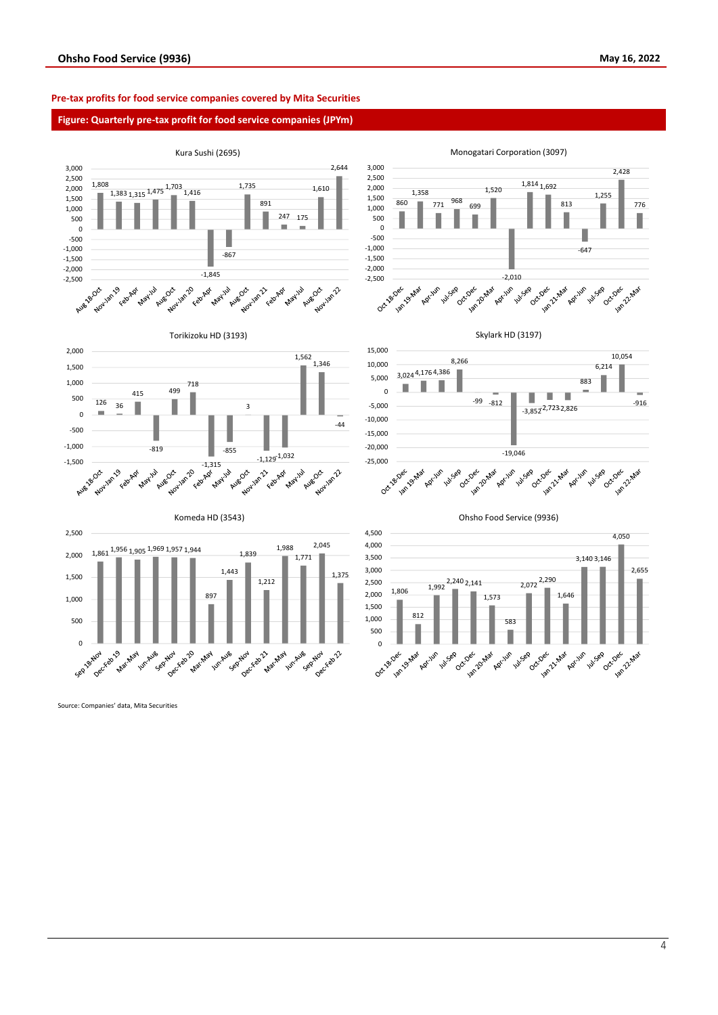# **Pre-tax profits for food service companies covered by Mita Securities**

# **Figure: Quarterly pre-tax profit for food service companies (JPYm)**



Source: Companies' data, Mita Securities

4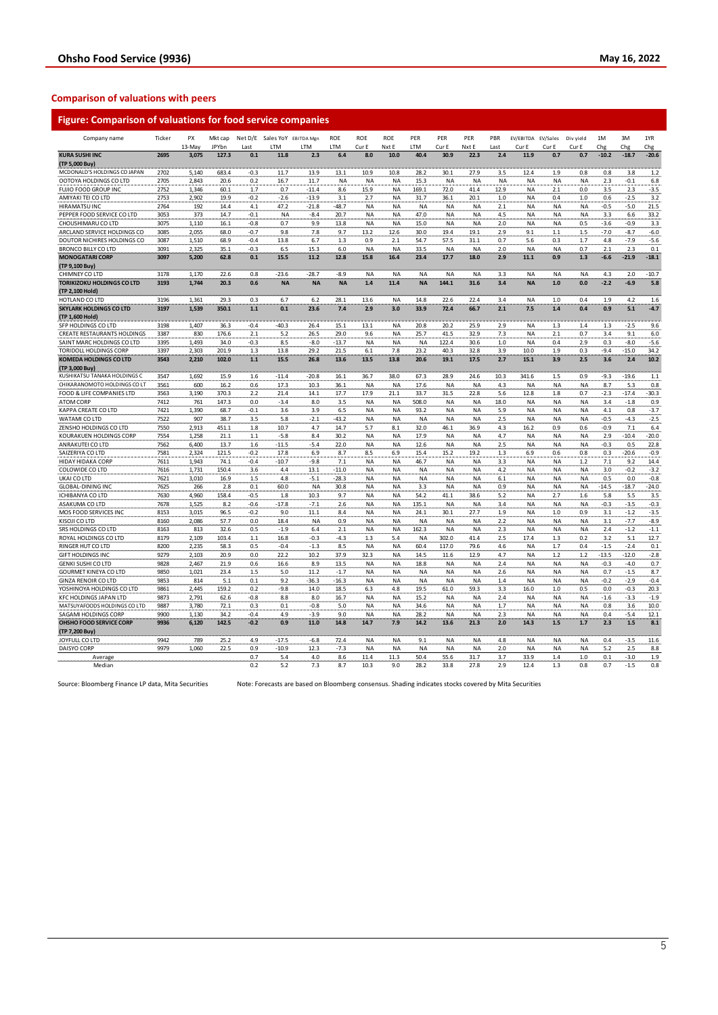# **Comparison of valuations with peers**

| <b>KURA SUSHI INC</b><br>2.3<br>8.0<br>10.0<br>40.4<br>30.9<br>22.3<br>11.9<br>0.7<br>$-10.2$<br>$-18.7$<br>$-20.6$<br>2695<br>3,075<br>127.3<br>0.1<br>11.8<br>6.4<br>2.4<br>0.7<br>(TP 5,000 Buy)<br>27.9<br>MCDONALD'S HOLDINGS CO JAPAN<br>2702<br>5,140<br>683.4<br>$-0.3$<br>11.7<br>13.9<br>13.1<br>10.9<br>28.2<br>30.1<br>3.5<br>12.4<br>1.9<br>0.8<br>0.8<br>1.2<br>10.8<br>3.8<br>OOTOYA HOLDINGS CO LTD<br>2705<br>2,843<br>20.6<br>0.2<br>16.7<br>11.7<br><b>NA</b><br>15.3<br><b>NA</b><br><b>NA</b><br><b>NA</b><br><b>NA</b><br>NA<br>2.3<br>$-0.1$<br>6.8<br><b>NA</b><br>NA<br><b>NA</b><br>$-3.5$<br>FUJIO FOOD GROUP INC<br>2752<br>1,346<br>1.7<br>0.7<br>$-11.4$<br>15.9<br><b>NA</b><br>169.1<br>41.4<br>12.9<br><b>NA</b><br>0.0<br>2.3<br>60.1<br>8.6<br>72.0<br>2.1<br>3.5<br>AMIYAKI TEI CO LTD<br>2753<br>2,902<br>19.9<br>$-0.2$<br>$-2.6$<br>$-13.9$<br>3.1<br>2.7<br><b>NA</b><br>31.7<br>36.1<br>20.1<br>$1.0$<br><b>NA</b><br>0.4<br>1.0<br>0.6<br>$-2.5$<br>3.2<br><b>HIRAMATSU INC</b><br>2764<br>192<br>14.4<br>4.1<br>47.2<br>$-21.8$<br>$-48.7$<br><b>NA</b><br><b>NA</b><br>NA<br>NA<br>2.1<br>NA<br><b>NA</b><br>NA<br>$-0.5$<br>$-5.0$<br>21.5<br><b>NA</b><br>47.0<br>33.2<br>PEPPER FOOD SERVICE CO LTD<br>3053<br>373<br>14.7<br>$-0.1$<br><b>NA</b><br>$-8.4$<br>20.7<br><b>NA</b><br><b>NA</b><br>NA<br><b>NA</b><br>4.5<br>NA<br><b>NA</b><br><b>NA</b><br>3.3<br>6.6<br>CHOUSHIMARU CO LTD<br>3075<br>1,110<br>16.1<br>$-0.8$<br>0.7<br>9.9<br>13.8<br>NA<br><b>NA</b><br>15.0<br>NA<br>NA<br>2.0<br><b>NA</b><br><b>NA</b><br>0.5<br>$-3.6$<br>$-0.9$<br>3.3<br>7.8<br>$-7.0$<br>$-8.7$<br>ARCLAND SERVICE HOLDINGS CO<br>3085<br>2,055<br>68.0<br>$-0.7$<br>9.8<br>9.7<br>13.2<br>12.6<br>30.0<br>19.4<br>19.1<br>2.9<br>9.1<br>$1.1\,$<br>$1.5$<br>$-6.0$<br>1,510<br>68.9<br>0.9<br>54.7<br>$-7.9$<br>$-5.6$<br>DOUTOR NICHIRES HOLDINGS CO<br>3087<br>$-0.4$<br>13.8<br>6.7<br>1.3<br>2.1<br>57.5<br>31.1<br>0.7<br>5.6<br>0.3<br>1.7<br>4.8<br>2.3<br>0.1<br><b>BRONCO BILLY CO LTD</b><br>3091<br>2,325<br>35.1<br>$-0.3$<br>6.5<br>15.3<br>6.0<br><b>NA</b><br>33.5<br><b>NA</b><br>2.0<br><b>NA</b><br><b>NA</b><br>0.7<br>2.1<br>ΝA<br>ΝA<br><b>MONOGATARI CORP</b><br>3097<br>5,200<br>62.8<br>0.1<br>15.5<br>11.2<br>12.8<br>15.8<br>16.4<br>23.4<br>17.7<br>18.0<br>2.9<br>11.1<br>0.9<br>1.3<br>$-6.6$<br>$-21.9$<br>(TP 9,100 Buy)<br>CHIMNEY CO LTD<br>3178<br>1,170<br>22.6<br>0.8<br>$-23.6$<br>$-28.7$<br>$-8.9$<br><b>NA</b><br><b>NA</b><br><b>NA</b><br><b>NA</b><br><b>NA</b><br>3.3<br><b>NA</b><br><b>NA</b><br><b>NA</b><br>4.3<br>2.0<br>1.4<br>11.4<br><b>NA</b><br>144.1<br>31.6<br><b>NA</b><br>$1.0$<br>$-2.2$<br>$-6.9$<br><b>TORIKIZOKU HOLDINGS CO LTD</b><br>3193<br>1,744<br>20.3<br>0.6<br><b>NA</b><br><b>NA</b><br><b>NA</b><br>3.4<br>0.0<br>(TP 2,100 Hold)<br>HOTLAND CO LTD<br>3196<br>28.1<br>13.6<br>22.6<br>22.4<br>3.4<br>0.4<br>1.9<br>4.2<br>1,361<br>29.3<br>0.3<br>6.7<br>6.2<br><b>NA</b><br>14.8<br><b>NA</b><br>1.0<br>350.1<br>$1.1$<br>0.1<br>23.6<br>7.4<br>3.0<br>33.9<br>66.7<br>2.1<br>7.5<br>0.4<br>0.9<br>5.1<br>3197<br>1,539<br>2.9<br>72.4<br>1.4<br>1,407<br>$-40.3$<br>20.8<br>20.2<br>25.9<br>1.3<br>$1.3$<br>$-2.5$<br>SFP HOLDINGS CO LTD<br>3198<br>36.3<br>$-0.4$<br>26.4<br>15.1<br>13.1<br>NA<br>2.9<br><b>NA</b><br>1.4<br>CREATE RESTAURANTS HOLDINGS<br>3387<br>830<br>176.6<br>2.1<br>5.2<br>26.5<br>29.0<br>9.6<br><b>NA</b><br>25.7<br>41.5<br>32.9<br>7.3<br><b>NA</b><br>$2.1\,$<br>0.7<br>3.4<br>9.1<br>3395<br>1,493<br>34.0<br>$-0.3$<br>8.5<br>-8.0<br>$-13.7$<br>NA<br><b>NA</b><br><b>NA</b><br>122.4<br>30.6<br>1.0<br><b>NA</b><br>0.4<br>2.9<br>0.3<br>$-8.0$<br>3397<br>2,303<br>201.9<br>1.3<br>13.8<br>29.2<br>21.5<br>6.1<br>7.8<br>23.2<br>40.3<br>32.8<br>3.9<br>10.0<br>1.9<br>0.3<br>$-9.4$<br>$-15.0$<br>102.0<br>$1.1$<br>15.5<br>13.6<br>13.5<br>13.8<br>20.6<br>17.5<br>2.7<br>15.1<br>3.9<br>2.5<br>3.6<br>2.4<br>3543<br>2,210<br>26.8<br>19.1<br>(TP 3,000 Buy)<br>$-19.6$<br>3547<br>1,692<br>15.9<br>1.6<br>$-11.4$<br>$-20.8$<br>16.1<br>36.7<br>38.0<br>67.3<br>28.9<br>24.6<br>10.3<br>341.6<br>1.5<br>0.9<br>$-9.3$<br>3561<br>600<br>0.6<br>17.3<br>10.3<br>36.1<br><b>NA</b><br><b>NA</b><br>17.6<br><b>NA</b><br>4.3<br><b>NA</b><br><b>NA</b><br>ΝA<br>8.7<br>5.3<br>16.2<br>NA<br>3563<br>3.190<br>370.3<br>2.2<br>21.4<br>14.1<br>17.7<br>17.9<br>21.1<br>33.7<br>31.5<br>22.8<br>5.6<br>12.8<br>1.8<br>0.7<br>$-2.3$<br>$-17.4$<br>7412<br>$-1.8$<br>761<br>147.3<br>0.0<br>$-3.4$<br>8.0<br>3.5<br><b>NA</b><br>NA<br>508.0<br>NA<br>NA<br>18.0<br><b>NA</b><br>NA<br>NA<br>3.4<br>7421<br>1,390<br>68.7<br>$-0.1$<br>3.6<br>3.9<br>6.5<br><b>NA</b><br><b>NA</b><br>93.2<br><b>NA</b><br><b>NA</b><br>5.9<br><b>NA</b><br><b>NA</b><br><b>NA</b><br>4.1<br>0.8<br>7522<br>907<br>38.7<br>3.5<br>5.8<br>$-2.1$<br>$-43.2$<br>NA<br><b>NA</b><br>NA<br>NA<br>NA<br>2.5<br>NA<br>NA<br>ΝA<br>-0.5<br>$-4.3$<br>7550<br>2,913<br>451.1<br>1.8<br>10.7<br>14.7<br>32.0<br>0.9<br>$-0.9$<br>4.7<br>5.7<br>8.1<br>46.1<br>36.9<br>4.3<br>16.2<br>0.6<br>7.1<br>30.2<br>$-10.4$<br>7554<br>1,258<br>21.1<br>1.1<br>$-5.8$<br>8.4<br>NA<br><b>NA</b><br>17.9<br>NA<br>NA<br>4.7<br><b>NA</b><br>NA<br>NA<br>2.9<br>7562<br>6,400<br>$-11.5$<br>$-5.4$<br>22.0<br>2.5<br>$-0.3$<br>13.7<br>1.6<br><b>NA</b><br><b>NA</b><br>12.6<br><b>NA</b><br><b>NA</b><br><b>NA</b><br><b>NA</b><br><b>NA</b><br>0.5<br>7581<br>2,324<br>121.5<br>$-0.2$<br>17.8<br>6.9<br>8.7<br>8.5<br>15.4<br>15.2<br>19.2<br>1.3<br>6.9<br>0.6<br>0.8<br>0.3<br>$-20.6$<br>6.9<br>7611<br>1,943<br>74.1<br>$-10.7$<br>9.2<br>$-0.4$<br>$-9.8$<br>7.1<br>NA<br><b>NA</b><br>46.7<br>NA<br>3.3<br><b>NA</b><br>NA<br>1.2<br>7.1<br>ΝA<br>7616<br>1,731<br>150.4<br>3.6<br>4.4<br>13.1<br>$-11.0$<br><b>NA</b><br><b>NA</b><br><b>NA</b><br><b>NA</b><br>NA<br>4.2<br><b>NA</b><br><b>NA</b><br>NA<br>3.0<br>$-0.2$<br>7621<br>3,010<br>16.9<br>1.5<br>4.8<br>$-5.1$<br>$-28.3$<br>NA<br><b>NA</b><br><b>NA</b><br>NA<br>NA<br>6.1<br><b>NA</b><br><b>NA</b><br>NA<br>0.5<br>0.0<br><b>GLOBAL-DINING INC</b><br>7625<br>266<br>2.8<br>0.1<br>60.0<br><b>NA</b><br>30.8<br><b>NA</b><br><b>NA</b><br>3.3<br><b>NA</b><br><b>NA</b><br>0.9<br><b>NA</b><br><b>NA</b><br>NA<br>$-14.5$<br>$-18.7$<br>7630<br>158.4<br>10.3<br><b>NA</b><br>54.2<br>38.6<br>5.2<br>2.7<br>5.8<br>5.5<br>4,960<br>$-0.5$<br>1.8<br>9.7<br>NA<br>41.1<br><b>NA</b><br>1.6<br>7678<br>1,525<br>$-17.8$<br>$-7.1$<br>3.4<br>$-0.3$<br>$-3.5$<br>ASAKUMA CO LTD<br>8.2<br>$-0.6$<br>2.6<br><b>NA</b><br><b>NA</b><br>135.1<br>NA<br>NA<br>NA<br><b>NA</b><br>NA<br>8153<br>24.1<br>MOS FOOD SERVICES INC<br>3,015<br>96.5<br>$-0.2$<br>9.0<br>11.1<br>8.4<br>NA<br><b>NA</b><br>30.1<br>27.7<br>1.9<br>ΝA<br>1.0<br>0.9<br>3.1<br>$-1.2$<br>$-7.7$<br>KISOJI CO LTD<br>8160<br>2,086<br>57.7<br>0.0<br>18.4<br>NA<br>0.9<br>NA<br><b>NA</b><br>NA<br><b>NA</b><br>2.2<br><b>NA</b><br>NA<br>3.1<br>NA<br>ΝA<br>SRS HOLDINGS CO LTD<br>8163<br>813<br>32.6<br>0.5<br>$-1.9$<br>6.4<br>2.1<br><b>NA</b><br><b>NA</b><br>162.3<br><b>NA</b><br><b>NA</b><br>2.3<br><b>NA</b><br><b>NA</b><br><b>NA</b><br>2.4<br>$-1.2$<br>12.7<br>103.4<br>$-0.3$<br>1.3<br>302.0<br>2.5<br>17.4<br>1.3<br>0.2<br>5.1<br>ROYAL HOLDINGS CO LTD<br>8179<br>2,109<br>1.1<br>16.8<br>$-4.3$<br>5.4<br><b>NA</b><br>41.4<br>3.2<br>$0.1\,$<br>RINGER HUT CO LTD<br>8200<br>2,235<br>58.3<br>0.5<br>$-0.4$<br>$-1.3$<br>8.5<br><b>NA</b><br><b>NA</b><br>60.4<br>117.0<br>79.6<br>4.6<br><b>NA</b><br>1.7<br>0.4<br>$-1.5$<br>$-2.4$<br>$-13.5$<br>$-12.0$<br><b>GIFT HOLDINGS INC</b><br>9279<br>2,103<br>20.9<br>0.0<br>22.2<br>10.2<br>37.9<br>32.3<br><b>NA</b><br>14.5<br>11.6<br>12.9<br>4.7<br><b>NA</b><br>1.2<br>1.2<br>9828<br>2,467<br>21.9<br>13.5<br>18.8<br>2.4<br>$-0.3$<br>$-4.0$<br>0.7<br>GENKI SUSHI CO LTD<br>0.6<br>16.6<br>8.9<br><b>NA</b><br><b>NA</b><br>NA<br><b>NA</b><br><b>NA</b><br><b>NA</b><br><b>NA</b><br><b>GOURMET KINEYA CO LTD</b><br>9850<br>1,021<br>23.4<br>1.5<br>5.0<br>11.2<br>$-1.7$<br><b>NA</b><br><b>NA</b><br>2.6<br><b>NA</b><br>NA<br>0.7<br>$-1.5$<br><b>NA</b><br>NA<br>NA<br><b>NA</b><br>9853<br>9.2<br><b>NA</b><br><b>NA</b><br><b>NA</b><br>$-0.2$<br>$-2.9$<br>$-0.4$<br><b>GINZA RENOIR CO LTD</b><br>814<br>5.1<br>0.1<br>$-36.3$<br>$-16.3$<br><b>NA</b><br><b>NA</b><br><b>NA</b><br><b>NA</b><br>1.4<br><b>NA</b><br>20.3<br>YOSHINOYA HOLDINGS CO LTD<br>9861<br>2,445<br>159.2<br>0.2<br>$-9.8$<br>14.0<br>18.5<br>6.3<br>19.5<br>61.0<br>59.3<br>3.3<br>16.0<br>$1.0\,$<br>0.5<br>0.0<br>$-0.3$<br>4.8<br>$-3.3$<br>KFC HOLDINGS JAPAN LTD<br>9873<br>2,791<br>62.6<br>-0.8<br>8.0<br>NA<br><b>NA</b><br>15.2<br>NA<br>NA<br>2.4<br><b>NA</b><br><b>NA</b><br>ΝA<br>8.8<br>16.7<br>-1.6<br>10.0<br>MATSUYAFOODS HOLDINGS CO LTD<br>9887<br>3.780<br>72.1<br>0.3<br>0.1<br>$-0.8$<br>5.0<br><b>NA</b><br><b>NA</b><br>34.6<br><b>NA</b><br><b>NA</b><br>1.7<br><b>NA</b><br><b>NA</b><br><b>NA</b><br>0.8<br>3.6<br>$-3.9$<br>12.1<br>SAGAMI HOLDINGS CORP<br>9900<br>1,130<br>34.2<br>$-0.4$<br>4.9<br>9.0<br><b>NA</b><br><b>NA</b><br>28.2<br>NA<br>NA<br>2.3<br><b>NA</b><br><b>NA</b><br>NA<br>0.4<br>$-5.4$<br>142.5<br>1.5<br>8.1<br>OHSHO FOOD SERVICE CORP<br>9936<br>6,120<br>$-0.2$<br>0.9<br>11.0<br>14.8<br>14.7<br>7.9<br>14.2<br>13.6<br>21.3<br>2.0<br>14.3<br>1.5<br>1.7<br>2.3<br>(TP 7,200 Buy)<br>JOYFULL CO LTD<br>9942<br>789<br>25.2<br>$-17.5$<br>72.4<br><b>NA</b><br><b>NA</b><br>0.4<br>$-3.5$<br>11.6<br>4.9<br>-6.8<br><b>NA</b><br>9.1<br><b>NA</b><br><b>NA</b><br>4.8<br><b>NA</b><br><b>NA</b><br>9979<br>1,060<br>22.5<br>$-10.9$<br>12.3<br>$-7.3$<br><b>DAISYO CORP</b><br>0.9<br>NA<br><b>NA</b><br><b>NA</b><br>NA<br><b>NA</b><br>2.0<br><b>NA</b><br><b>NA</b><br><b>NA</b><br>5.2<br>2.5<br>31.7<br>0.7<br>5.4<br>4.0<br>8.6<br>11.4<br>11.3<br>50.4<br>55.6<br>3.7<br>33.9<br>1.4<br>1.0<br>0.1<br>$-3.0$<br>Average<br>Median<br>0.2<br>5.2<br>7.3<br>8.7<br>10.3<br>9.0<br>28.2<br>33.8<br>27.8<br>2.9<br>12.4<br>1.3<br>0.8<br>0.7<br>$-1.5$ | Company name                   | Ticker | PX     | Mkt cap |      | Net D/E Sales YoY EBITDA Mgn |     | ROE | <b>ROE</b> | ROE   | PER | PER   | PER   | PBR  | EV/EBITDA | EV/Sales | Div yield | 1M  | 3M  | 1YR        |
|-------------------------------------------------------------------------------------------------------------------------------------------------------------------------------------------------------------------------------------------------------------------------------------------------------------------------------------------------------------------------------------------------------------------------------------------------------------------------------------------------------------------------------------------------------------------------------------------------------------------------------------------------------------------------------------------------------------------------------------------------------------------------------------------------------------------------------------------------------------------------------------------------------------------------------------------------------------------------------------------------------------------------------------------------------------------------------------------------------------------------------------------------------------------------------------------------------------------------------------------------------------------------------------------------------------------------------------------------------------------------------------------------------------------------------------------------------------------------------------------------------------------------------------------------------------------------------------------------------------------------------------------------------------------------------------------------------------------------------------------------------------------------------------------------------------------------------------------------------------------------------------------------------------------------------------------------------------------------------------------------------------------------------------------------------------------------------------------------------------------------------------------------------------------------------------------------------------------------------------------------------------------------------------------------------------------------------------------------------------------------------------------------------------------------------------------------------------------------------------------------------------------------------------------------------------------------------------------------------------------------------------------------------------------------------------------------------------------------------------------------------------------------------------------------------------------------------------------------------------------------------------------------------------------------------------------------------------------------------------------------------------------------------------------------------------------------------------------------------------------------------------------------------------------------------------------------------------------------------------------------------------------------------------------------------------------------------------------------------------------------------------------------------------------------------------------------------------------------------------------------------------------------------------------------------------------------------------------------------------------------------------------------------------------------------------------------------------------------------------------------------------------------------------------------------------------------------------------------------------------------------------------------------------------------------------------------------------------------------------------------------------------------------------------------------------------------------------------------------------------------------------------------------------------------------------------------------------------------------------------------------------------------------------------------------------------------------------------------------------------------------------------------------------------------------------------------------------------------------------------------------------------------------------------------------------------------------------------------------------------------------------------------------------------------------------------------------------------------------------------------------------------------------------------------------------------------------------------------------------------------------------------------------------------------------------------------------------------------------------------------------------------------------------------------------------------------------------------------------------------------------------------------------------------------------------------------------------------------------------------------------------------------------------------------------------------------------------------------------------------------------------------------------------------------------------------------------------------------------------------------------------------------------------------------------------------------------------------------------------------------------------------------------------------------------------------------------------------------------------------------------------------------------------------------------------------------------------------------------------------------------------------------------------------------------------------------------------------------------------------------------------------------------------------------------------------------------------------------------------------------------------------------------------------------------------------------------------------------------------------------------------------------------------------------------------------------------------------------------------------------------------------------------------------------------------------------------------------------------------------------------------------------------------------------------------------------------------------------------------------------------------------------------------------------------------------------------------------------------------------------------------------------------------------------------------------------------------------------------------------------------------------------------------------------------------------------------------------------------------------------------------------------------------------------------------------------------------------------------------------------------------------------------------------------------------------------------------------------------------------------------------------------------------------------------------------------------------------------------------------------------------------------------------------------------------------------------------------------------------------------------------------------------------------------------------------------------------------------------------------------------------------------------------------------------------------------------------------------------------------------------------------------------------------------------------------------------------------------------------------------------------------------------------------------------------------------------------------------------------------------------------------------------------------------------------------------------------------------------------------------------------------------------------------------------------------------------------------------------------------------------------------------------------------------------------------------------------------------------------------------------------------------------------------------------------------------------------------------------------------------------------------------------------------------------------------------------------------------------------------------------------------------------------------------------------------------------------------------------------------------------------------------------------------------------------------------------------------------------------------------------------------------------------------------------------------------------------------------------------------------------------------------------------------------------------------------------------------------------------------------------------------------------------------------------------------------------------------------------------------------------------------------------------------------------------------------------------------------------------------------------------------------------------------------------------------------------------------------------------------------------------------------------------------------------------------------------------------------------------------------------------------------------------------------------------------------------------------------------------------------------------------------------------------------------------------------------------------------------------------------------------------------------------------------------------------------------------------------------------------------------------------------------------------------------------------------------------------------------------------------------------------------|--------------------------------|--------|--------|---------|------|------------------------------|-----|-----|------------|-------|-----|-------|-------|------|-----------|----------|-----------|-----|-----|------------|
|                                                                                                                                                                                                                                                                                                                                                                                                                                                                                                                                                                                                                                                                                                                                                                                                                                                                                                                                                                                                                                                                                                                                                                                                                                                                                                                                                                                                                                                                                                                                                                                                                                                                                                                                                                                                                                                                                                                                                                                                                                                                                                                                                                                                                                                                                                                                                                                                                                                                                                                                                                                                                                                                                                                                                                                                                                                                                                                                                                                                                                                                                                                                                                                                                                                                                                                                                                                                                                                                                                                                                                                                                                                                                                                                                                                                                                                                                                                                                                                                                                                                                                                                                                                                                                                                                                                                                                                                                                                                                                                                                                                                                                                                                                                                                                                                                                                                                                                                                                                                                                                                                                                                                                                                                                                                                                                                                                                                                                                                                                                                                                                                                                                                                                                                                                                                                                                                                                                                                                                                                                                                                                                                                                                                                                                                                                                                                                                                                                                                                                                                                                                                                                                                                                                                                                                                                                                                                                                                                                                                                                                                                                                                                                                                                                                                                                                                                                                                                                                                                                                                                                                                                                                                                                                                                                                                                                                                                                                                                                                                                                                                                                                                                                                                                                                                                                                                                                                                                                                                                                                                                                                                                                                                                                                                                                                                                                                                                                                                                                                                                                                                                                                                                                                                                                                                                                                                                                                                                                                                                                                                                                                                                                                                                                                                                                                                                                                                                                                                                                                                                                                                                                                                                 |                                |        | 13-May | JPYbn   | Last | LTM                          | LTM | LTM | Cur E      | Nxt E | LTM | Cur E | Nxt E | Last | Cur E     | Cur E    | Cur E     | Chg | Chg | Chg        |
|                                                                                                                                                                                                                                                                                                                                                                                                                                                                                                                                                                                                                                                                                                                                                                                                                                                                                                                                                                                                                                                                                                                                                                                                                                                                                                                                                                                                                                                                                                                                                                                                                                                                                                                                                                                                                                                                                                                                                                                                                                                                                                                                                                                                                                                                                                                                                                                                                                                                                                                                                                                                                                                                                                                                                                                                                                                                                                                                                                                                                                                                                                                                                                                                                                                                                                                                                                                                                                                                                                                                                                                                                                                                                                                                                                                                                                                                                                                                                                                                                                                                                                                                                                                                                                                                                                                                                                                                                                                                                                                                                                                                                                                                                                                                                                                                                                                                                                                                                                                                                                                                                                                                                                                                                                                                                                                                                                                                                                                                                                                                                                                                                                                                                                                                                                                                                                                                                                                                                                                                                                                                                                                                                                                                                                                                                                                                                                                                                                                                                                                                                                                                                                                                                                                                                                                                                                                                                                                                                                                                                                                                                                                                                                                                                                                                                                                                                                                                                                                                                                                                                                                                                                                                                                                                                                                                                                                                                                                                                                                                                                                                                                                                                                                                                                                                                                                                                                                                                                                                                                                                                                                                                                                                                                                                                                                                                                                                                                                                                                                                                                                                                                                                                                                                                                                                                                                                                                                                                                                                                                                                                                                                                                                                                                                                                                                                                                                                                                                                                                                                                                                                                                                                                 |                                |        |        |         |      |                              |     |     |            |       |     |       |       |      |           |          |           |     |     |            |
|                                                                                                                                                                                                                                                                                                                                                                                                                                                                                                                                                                                                                                                                                                                                                                                                                                                                                                                                                                                                                                                                                                                                                                                                                                                                                                                                                                                                                                                                                                                                                                                                                                                                                                                                                                                                                                                                                                                                                                                                                                                                                                                                                                                                                                                                                                                                                                                                                                                                                                                                                                                                                                                                                                                                                                                                                                                                                                                                                                                                                                                                                                                                                                                                                                                                                                                                                                                                                                                                                                                                                                                                                                                                                                                                                                                                                                                                                                                                                                                                                                                                                                                                                                                                                                                                                                                                                                                                                                                                                                                                                                                                                                                                                                                                                                                                                                                                                                                                                                                                                                                                                                                                                                                                                                                                                                                                                                                                                                                                                                                                                                                                                                                                                                                                                                                                                                                                                                                                                                                                                                                                                                                                                                                                                                                                                                                                                                                                                                                                                                                                                                                                                                                                                                                                                                                                                                                                                                                                                                                                                                                                                                                                                                                                                                                                                                                                                                                                                                                                                                                                                                                                                                                                                                                                                                                                                                                                                                                                                                                                                                                                                                                                                                                                                                                                                                                                                                                                                                                                                                                                                                                                                                                                                                                                                                                                                                                                                                                                                                                                                                                                                                                                                                                                                                                                                                                                                                                                                                                                                                                                                                                                                                                                                                                                                                                                                                                                                                                                                                                                                                                                                                                                                 |                                |        |        |         |      |                              |     |     |            |       |     |       |       |      |           |          |           |     |     |            |
|                                                                                                                                                                                                                                                                                                                                                                                                                                                                                                                                                                                                                                                                                                                                                                                                                                                                                                                                                                                                                                                                                                                                                                                                                                                                                                                                                                                                                                                                                                                                                                                                                                                                                                                                                                                                                                                                                                                                                                                                                                                                                                                                                                                                                                                                                                                                                                                                                                                                                                                                                                                                                                                                                                                                                                                                                                                                                                                                                                                                                                                                                                                                                                                                                                                                                                                                                                                                                                                                                                                                                                                                                                                                                                                                                                                                                                                                                                                                                                                                                                                                                                                                                                                                                                                                                                                                                                                                                                                                                                                                                                                                                                                                                                                                                                                                                                                                                                                                                                                                                                                                                                                                                                                                                                                                                                                                                                                                                                                                                                                                                                                                                                                                                                                                                                                                                                                                                                                                                                                                                                                                                                                                                                                                                                                                                                                                                                                                                                                                                                                                                                                                                                                                                                                                                                                                                                                                                                                                                                                                                                                                                                                                                                                                                                                                                                                                                                                                                                                                                                                                                                                                                                                                                                                                                                                                                                                                                                                                                                                                                                                                                                                                                                                                                                                                                                                                                                                                                                                                                                                                                                                                                                                                                                                                                                                                                                                                                                                                                                                                                                                                                                                                                                                                                                                                                                                                                                                                                                                                                                                                                                                                                                                                                                                                                                                                                                                                                                                                                                                                                                                                                                                                                 |                                |        |        |         |      |                              |     |     |            |       |     |       |       |      |           |          |           |     |     |            |
|                                                                                                                                                                                                                                                                                                                                                                                                                                                                                                                                                                                                                                                                                                                                                                                                                                                                                                                                                                                                                                                                                                                                                                                                                                                                                                                                                                                                                                                                                                                                                                                                                                                                                                                                                                                                                                                                                                                                                                                                                                                                                                                                                                                                                                                                                                                                                                                                                                                                                                                                                                                                                                                                                                                                                                                                                                                                                                                                                                                                                                                                                                                                                                                                                                                                                                                                                                                                                                                                                                                                                                                                                                                                                                                                                                                                                                                                                                                                                                                                                                                                                                                                                                                                                                                                                                                                                                                                                                                                                                                                                                                                                                                                                                                                                                                                                                                                                                                                                                                                                                                                                                                                                                                                                                                                                                                                                                                                                                                                                                                                                                                                                                                                                                                                                                                                                                                                                                                                                                                                                                                                                                                                                                                                                                                                                                                                                                                                                                                                                                                                                                                                                                                                                                                                                                                                                                                                                                                                                                                                                                                                                                                                                                                                                                                                                                                                                                                                                                                                                                                                                                                                                                                                                                                                                                                                                                                                                                                                                                                                                                                                                                                                                                                                                                                                                                                                                                                                                                                                                                                                                                                                                                                                                                                                                                                                                                                                                                                                                                                                                                                                                                                                                                                                                                                                                                                                                                                                                                                                                                                                                                                                                                                                                                                                                                                                                                                                                                                                                                                                                                                                                                                                                 |                                |        |        |         |      |                              |     |     |            |       |     |       |       |      |           |          |           |     |     |            |
|                                                                                                                                                                                                                                                                                                                                                                                                                                                                                                                                                                                                                                                                                                                                                                                                                                                                                                                                                                                                                                                                                                                                                                                                                                                                                                                                                                                                                                                                                                                                                                                                                                                                                                                                                                                                                                                                                                                                                                                                                                                                                                                                                                                                                                                                                                                                                                                                                                                                                                                                                                                                                                                                                                                                                                                                                                                                                                                                                                                                                                                                                                                                                                                                                                                                                                                                                                                                                                                                                                                                                                                                                                                                                                                                                                                                                                                                                                                                                                                                                                                                                                                                                                                                                                                                                                                                                                                                                                                                                                                                                                                                                                                                                                                                                                                                                                                                                                                                                                                                                                                                                                                                                                                                                                                                                                                                                                                                                                                                                                                                                                                                                                                                                                                                                                                                                                                                                                                                                                                                                                                                                                                                                                                                                                                                                                                                                                                                                                                                                                                                                                                                                                                                                                                                                                                                                                                                                                                                                                                                                                                                                                                                                                                                                                                                                                                                                                                                                                                                                                                                                                                                                                                                                                                                                                                                                                                                                                                                                                                                                                                                                                                                                                                                                                                                                                                                                                                                                                                                                                                                                                                                                                                                                                                                                                                                                                                                                                                                                                                                                                                                                                                                                                                                                                                                                                                                                                                                                                                                                                                                                                                                                                                                                                                                                                                                                                                                                                                                                                                                                                                                                                                                                 |                                |        |        |         |      |                              |     |     |            |       |     |       |       |      |           |          |           |     |     |            |
|                                                                                                                                                                                                                                                                                                                                                                                                                                                                                                                                                                                                                                                                                                                                                                                                                                                                                                                                                                                                                                                                                                                                                                                                                                                                                                                                                                                                                                                                                                                                                                                                                                                                                                                                                                                                                                                                                                                                                                                                                                                                                                                                                                                                                                                                                                                                                                                                                                                                                                                                                                                                                                                                                                                                                                                                                                                                                                                                                                                                                                                                                                                                                                                                                                                                                                                                                                                                                                                                                                                                                                                                                                                                                                                                                                                                                                                                                                                                                                                                                                                                                                                                                                                                                                                                                                                                                                                                                                                                                                                                                                                                                                                                                                                                                                                                                                                                                                                                                                                                                                                                                                                                                                                                                                                                                                                                                                                                                                                                                                                                                                                                                                                                                                                                                                                                                                                                                                                                                                                                                                                                                                                                                                                                                                                                                                                                                                                                                                                                                                                                                                                                                                                                                                                                                                                                                                                                                                                                                                                                                                                                                                                                                                                                                                                                                                                                                                                                                                                                                                                                                                                                                                                                                                                                                                                                                                                                                                                                                                                                                                                                                                                                                                                                                                                                                                                                                                                                                                                                                                                                                                                                                                                                                                                                                                                                                                                                                                                                                                                                                                                                                                                                                                                                                                                                                                                                                                                                                                                                                                                                                                                                                                                                                                                                                                                                                                                                                                                                                                                                                                                                                                                                                 |                                |        |        |         |      |                              |     |     |            |       |     |       |       |      |           |          |           |     |     |            |
|                                                                                                                                                                                                                                                                                                                                                                                                                                                                                                                                                                                                                                                                                                                                                                                                                                                                                                                                                                                                                                                                                                                                                                                                                                                                                                                                                                                                                                                                                                                                                                                                                                                                                                                                                                                                                                                                                                                                                                                                                                                                                                                                                                                                                                                                                                                                                                                                                                                                                                                                                                                                                                                                                                                                                                                                                                                                                                                                                                                                                                                                                                                                                                                                                                                                                                                                                                                                                                                                                                                                                                                                                                                                                                                                                                                                                                                                                                                                                                                                                                                                                                                                                                                                                                                                                                                                                                                                                                                                                                                                                                                                                                                                                                                                                                                                                                                                                                                                                                                                                                                                                                                                                                                                                                                                                                                                                                                                                                                                                                                                                                                                                                                                                                                                                                                                                                                                                                                                                                                                                                                                                                                                                                                                                                                                                                                                                                                                                                                                                                                                                                                                                                                                                                                                                                                                                                                                                                                                                                                                                                                                                                                                                                                                                                                                                                                                                                                                                                                                                                                                                                                                                                                                                                                                                                                                                                                                                                                                                                                                                                                                                                                                                                                                                                                                                                                                                                                                                                                                                                                                                                                                                                                                                                                                                                                                                                                                                                                                                                                                                                                                                                                                                                                                                                                                                                                                                                                                                                                                                                                                                                                                                                                                                                                                                                                                                                                                                                                                                                                                                                                                                                                                                 |                                |        |        |         |      |                              |     |     |            |       |     |       |       |      |           |          |           |     |     |            |
|                                                                                                                                                                                                                                                                                                                                                                                                                                                                                                                                                                                                                                                                                                                                                                                                                                                                                                                                                                                                                                                                                                                                                                                                                                                                                                                                                                                                                                                                                                                                                                                                                                                                                                                                                                                                                                                                                                                                                                                                                                                                                                                                                                                                                                                                                                                                                                                                                                                                                                                                                                                                                                                                                                                                                                                                                                                                                                                                                                                                                                                                                                                                                                                                                                                                                                                                                                                                                                                                                                                                                                                                                                                                                                                                                                                                                                                                                                                                                                                                                                                                                                                                                                                                                                                                                                                                                                                                                                                                                                                                                                                                                                                                                                                                                                                                                                                                                                                                                                                                                                                                                                                                                                                                                                                                                                                                                                                                                                                                                                                                                                                                                                                                                                                                                                                                                                                                                                                                                                                                                                                                                                                                                                                                                                                                                                                                                                                                                                                                                                                                                                                                                                                                                                                                                                                                                                                                                                                                                                                                                                                                                                                                                                                                                                                                                                                                                                                                                                                                                                                                                                                                                                                                                                                                                                                                                                                                                                                                                                                                                                                                                                                                                                                                                                                                                                                                                                                                                                                                                                                                                                                                                                                                                                                                                                                                                                                                                                                                                                                                                                                                                                                                                                                                                                                                                                                                                                                                                                                                                                                                                                                                                                                                                                                                                                                                                                                                                                                                                                                                                                                                                                                                                 |                                |        |        |         |      |                              |     |     |            |       |     |       |       |      |           |          |           |     |     |            |
|                                                                                                                                                                                                                                                                                                                                                                                                                                                                                                                                                                                                                                                                                                                                                                                                                                                                                                                                                                                                                                                                                                                                                                                                                                                                                                                                                                                                                                                                                                                                                                                                                                                                                                                                                                                                                                                                                                                                                                                                                                                                                                                                                                                                                                                                                                                                                                                                                                                                                                                                                                                                                                                                                                                                                                                                                                                                                                                                                                                                                                                                                                                                                                                                                                                                                                                                                                                                                                                                                                                                                                                                                                                                                                                                                                                                                                                                                                                                                                                                                                                                                                                                                                                                                                                                                                                                                                                                                                                                                                                                                                                                                                                                                                                                                                                                                                                                                                                                                                                                                                                                                                                                                                                                                                                                                                                                                                                                                                                                                                                                                                                                                                                                                                                                                                                                                                                                                                                                                                                                                                                                                                                                                                                                                                                                                                                                                                                                                                                                                                                                                                                                                                                                                                                                                                                                                                                                                                                                                                                                                                                                                                                                                                                                                                                                                                                                                                                                                                                                                                                                                                                                                                                                                                                                                                                                                                                                                                                                                                                                                                                                                                                                                                                                                                                                                                                                                                                                                                                                                                                                                                                                                                                                                                                                                                                                                                                                                                                                                                                                                                                                                                                                                                                                                                                                                                                                                                                                                                                                                                                                                                                                                                                                                                                                                                                                                                                                                                                                                                                                                                                                                                                                                 |                                |        |        |         |      |                              |     |     |            |       |     |       |       |      |           |          |           |     |     |            |
|                                                                                                                                                                                                                                                                                                                                                                                                                                                                                                                                                                                                                                                                                                                                                                                                                                                                                                                                                                                                                                                                                                                                                                                                                                                                                                                                                                                                                                                                                                                                                                                                                                                                                                                                                                                                                                                                                                                                                                                                                                                                                                                                                                                                                                                                                                                                                                                                                                                                                                                                                                                                                                                                                                                                                                                                                                                                                                                                                                                                                                                                                                                                                                                                                                                                                                                                                                                                                                                                                                                                                                                                                                                                                                                                                                                                                                                                                                                                                                                                                                                                                                                                                                                                                                                                                                                                                                                                                                                                                                                                                                                                                                                                                                                                                                                                                                                                                                                                                                                                                                                                                                                                                                                                                                                                                                                                                                                                                                                                                                                                                                                                                                                                                                                                                                                                                                                                                                                                                                                                                                                                                                                                                                                                                                                                                                                                                                                                                                                                                                                                                                                                                                                                                                                                                                                                                                                                                                                                                                                                                                                                                                                                                                                                                                                                                                                                                                                                                                                                                                                                                                                                                                                                                                                                                                                                                                                                                                                                                                                                                                                                                                                                                                                                                                                                                                                                                                                                                                                                                                                                                                                                                                                                                                                                                                                                                                                                                                                                                                                                                                                                                                                                                                                                                                                                                                                                                                                                                                                                                                                                                                                                                                                                                                                                                                                                                                                                                                                                                                                                                                                                                                                                                 |                                |        |        |         |      |                              |     |     |            |       |     |       |       |      |           |          |           |     |     |            |
|                                                                                                                                                                                                                                                                                                                                                                                                                                                                                                                                                                                                                                                                                                                                                                                                                                                                                                                                                                                                                                                                                                                                                                                                                                                                                                                                                                                                                                                                                                                                                                                                                                                                                                                                                                                                                                                                                                                                                                                                                                                                                                                                                                                                                                                                                                                                                                                                                                                                                                                                                                                                                                                                                                                                                                                                                                                                                                                                                                                                                                                                                                                                                                                                                                                                                                                                                                                                                                                                                                                                                                                                                                                                                                                                                                                                                                                                                                                                                                                                                                                                                                                                                                                                                                                                                                                                                                                                                                                                                                                                                                                                                                                                                                                                                                                                                                                                                                                                                                                                                                                                                                                                                                                                                                                                                                                                                                                                                                                                                                                                                                                                                                                                                                                                                                                                                                                                                                                                                                                                                                                                                                                                                                                                                                                                                                                                                                                                                                                                                                                                                                                                                                                                                                                                                                                                                                                                                                                                                                                                                                                                                                                                                                                                                                                                                                                                                                                                                                                                                                                                                                                                                                                                                                                                                                                                                                                                                                                                                                                                                                                                                                                                                                                                                                                                                                                                                                                                                                                                                                                                                                                                                                                                                                                                                                                                                                                                                                                                                                                                                                                                                                                                                                                                                                                                                                                                                                                                                                                                                                                                                                                                                                                                                                                                                                                                                                                                                                                                                                                                                                                                                                                                                 |                                |        |        |         |      |                              |     |     |            |       |     |       |       |      |           |          |           |     |     |            |
|                                                                                                                                                                                                                                                                                                                                                                                                                                                                                                                                                                                                                                                                                                                                                                                                                                                                                                                                                                                                                                                                                                                                                                                                                                                                                                                                                                                                                                                                                                                                                                                                                                                                                                                                                                                                                                                                                                                                                                                                                                                                                                                                                                                                                                                                                                                                                                                                                                                                                                                                                                                                                                                                                                                                                                                                                                                                                                                                                                                                                                                                                                                                                                                                                                                                                                                                                                                                                                                                                                                                                                                                                                                                                                                                                                                                                                                                                                                                                                                                                                                                                                                                                                                                                                                                                                                                                                                                                                                                                                                                                                                                                                                                                                                                                                                                                                                                                                                                                                                                                                                                                                                                                                                                                                                                                                                                                                                                                                                                                                                                                                                                                                                                                                                                                                                                                                                                                                                                                                                                                                                                                                                                                                                                                                                                                                                                                                                                                                                                                                                                                                                                                                                                                                                                                                                                                                                                                                                                                                                                                                                                                                                                                                                                                                                                                                                                                                                                                                                                                                                                                                                                                                                                                                                                                                                                                                                                                                                                                                                                                                                                                                                                                                                                                                                                                                                                                                                                                                                                                                                                                                                                                                                                                                                                                                                                                                                                                                                                                                                                                                                                                                                                                                                                                                                                                                                                                                                                                                                                                                                                                                                                                                                                                                                                                                                                                                                                                                                                                                                                                                                                                                                                                 |                                |        |        |         |      |                              |     |     |            |       |     |       |       |      |           |          |           |     |     | $-18.1$    |
|                                                                                                                                                                                                                                                                                                                                                                                                                                                                                                                                                                                                                                                                                                                                                                                                                                                                                                                                                                                                                                                                                                                                                                                                                                                                                                                                                                                                                                                                                                                                                                                                                                                                                                                                                                                                                                                                                                                                                                                                                                                                                                                                                                                                                                                                                                                                                                                                                                                                                                                                                                                                                                                                                                                                                                                                                                                                                                                                                                                                                                                                                                                                                                                                                                                                                                                                                                                                                                                                                                                                                                                                                                                                                                                                                                                                                                                                                                                                                                                                                                                                                                                                                                                                                                                                                                                                                                                                                                                                                                                                                                                                                                                                                                                                                                                                                                                                                                                                                                                                                                                                                                                                                                                                                                                                                                                                                                                                                                                                                                                                                                                                                                                                                                                                                                                                                                                                                                                                                                                                                                                                                                                                                                                                                                                                                                                                                                                                                                                                                                                                                                                                                                                                                                                                                                                                                                                                                                                                                                                                                                                                                                                                                                                                                                                                                                                                                                                                                                                                                                                                                                                                                                                                                                                                                                                                                                                                                                                                                                                                                                                                                                                                                                                                                                                                                                                                                                                                                                                                                                                                                                                                                                                                                                                                                                                                                                                                                                                                                                                                                                                                                                                                                                                                                                                                                                                                                                                                                                                                                                                                                                                                                                                                                                                                                                                                                                                                                                                                                                                                                                                                                                                                                 |                                |        |        |         |      |                              |     |     |            |       |     |       |       |      |           |          |           |     |     |            |
|                                                                                                                                                                                                                                                                                                                                                                                                                                                                                                                                                                                                                                                                                                                                                                                                                                                                                                                                                                                                                                                                                                                                                                                                                                                                                                                                                                                                                                                                                                                                                                                                                                                                                                                                                                                                                                                                                                                                                                                                                                                                                                                                                                                                                                                                                                                                                                                                                                                                                                                                                                                                                                                                                                                                                                                                                                                                                                                                                                                                                                                                                                                                                                                                                                                                                                                                                                                                                                                                                                                                                                                                                                                                                                                                                                                                                                                                                                                                                                                                                                                                                                                                                                                                                                                                                                                                                                                                                                                                                                                                                                                                                                                                                                                                                                                                                                                                                                                                                                                                                                                                                                                                                                                                                                                                                                                                                                                                                                                                                                                                                                                                                                                                                                                                                                                                                                                                                                                                                                                                                                                                                                                                                                                                                                                                                                                                                                                                                                                                                                                                                                                                                                                                                                                                                                                                                                                                                                                                                                                                                                                                                                                                                                                                                                                                                                                                                                                                                                                                                                                                                                                                                                                                                                                                                                                                                                                                                                                                                                                                                                                                                                                                                                                                                                                                                                                                                                                                                                                                                                                                                                                                                                                                                                                                                                                                                                                                                                                                                                                                                                                                                                                                                                                                                                                                                                                                                                                                                                                                                                                                                                                                                                                                                                                                                                                                                                                                                                                                                                                                                                                                                                                                                 |                                |        |        |         |      |                              |     |     |            |       |     |       |       |      |           |          |           |     |     | $-10.7$    |
|                                                                                                                                                                                                                                                                                                                                                                                                                                                                                                                                                                                                                                                                                                                                                                                                                                                                                                                                                                                                                                                                                                                                                                                                                                                                                                                                                                                                                                                                                                                                                                                                                                                                                                                                                                                                                                                                                                                                                                                                                                                                                                                                                                                                                                                                                                                                                                                                                                                                                                                                                                                                                                                                                                                                                                                                                                                                                                                                                                                                                                                                                                                                                                                                                                                                                                                                                                                                                                                                                                                                                                                                                                                                                                                                                                                                                                                                                                                                                                                                                                                                                                                                                                                                                                                                                                                                                                                                                                                                                                                                                                                                                                                                                                                                                                                                                                                                                                                                                                                                                                                                                                                                                                                                                                                                                                                                                                                                                                                                                                                                                                                                                                                                                                                                                                                                                                                                                                                                                                                                                                                                                                                                                                                                                                                                                                                                                                                                                                                                                                                                                                                                                                                                                                                                                                                                                                                                                                                                                                                                                                                                                                                                                                                                                                                                                                                                                                                                                                                                                                                                                                                                                                                                                                                                                                                                                                                                                                                                                                                                                                                                                                                                                                                                                                                                                                                                                                                                                                                                                                                                                                                                                                                                                                                                                                                                                                                                                                                                                                                                                                                                                                                                                                                                                                                                                                                                                                                                                                                                                                                                                                                                                                                                                                                                                                                                                                                                                                                                                                                                                                                                                                                                                 |                                |        |        |         |      |                              |     |     |            |       |     |       |       |      |           |          |           |     |     | 5.8        |
|                                                                                                                                                                                                                                                                                                                                                                                                                                                                                                                                                                                                                                                                                                                                                                                                                                                                                                                                                                                                                                                                                                                                                                                                                                                                                                                                                                                                                                                                                                                                                                                                                                                                                                                                                                                                                                                                                                                                                                                                                                                                                                                                                                                                                                                                                                                                                                                                                                                                                                                                                                                                                                                                                                                                                                                                                                                                                                                                                                                                                                                                                                                                                                                                                                                                                                                                                                                                                                                                                                                                                                                                                                                                                                                                                                                                                                                                                                                                                                                                                                                                                                                                                                                                                                                                                                                                                                                                                                                                                                                                                                                                                                                                                                                                                                                                                                                                                                                                                                                                                                                                                                                                                                                                                                                                                                                                                                                                                                                                                                                                                                                                                                                                                                                                                                                                                                                                                                                                                                                                                                                                                                                                                                                                                                                                                                                                                                                                                                                                                                                                                                                                                                                                                                                                                                                                                                                                                                                                                                                                                                                                                                                                                                                                                                                                                                                                                                                                                                                                                                                                                                                                                                                                                                                                                                                                                                                                                                                                                                                                                                                                                                                                                                                                                                                                                                                                                                                                                                                                                                                                                                                                                                                                                                                                                                                                                                                                                                                                                                                                                                                                                                                                                                                                                                                                                                                                                                                                                                                                                                                                                                                                                                                                                                                                                                                                                                                                                                                                                                                                                                                                                                                                                 |                                |        |        |         |      |                              |     |     |            |       |     |       |       |      |           |          |           |     |     |            |
|                                                                                                                                                                                                                                                                                                                                                                                                                                                                                                                                                                                                                                                                                                                                                                                                                                                                                                                                                                                                                                                                                                                                                                                                                                                                                                                                                                                                                                                                                                                                                                                                                                                                                                                                                                                                                                                                                                                                                                                                                                                                                                                                                                                                                                                                                                                                                                                                                                                                                                                                                                                                                                                                                                                                                                                                                                                                                                                                                                                                                                                                                                                                                                                                                                                                                                                                                                                                                                                                                                                                                                                                                                                                                                                                                                                                                                                                                                                                                                                                                                                                                                                                                                                                                                                                                                                                                                                                                                                                                                                                                                                                                                                                                                                                                                                                                                                                                                                                                                                                                                                                                                                                                                                                                                                                                                                                                                                                                                                                                                                                                                                                                                                                                                                                                                                                                                                                                                                                                                                                                                                                                                                                                                                                                                                                                                                                                                                                                                                                                                                                                                                                                                                                                                                                                                                                                                                                                                                                                                                                                                                                                                                                                                                                                                                                                                                                                                                                                                                                                                                                                                                                                                                                                                                                                                                                                                                                                                                                                                                                                                                                                                                                                                                                                                                                                                                                                                                                                                                                                                                                                                                                                                                                                                                                                                                                                                                                                                                                                                                                                                                                                                                                                                                                                                                                                                                                                                                                                                                                                                                                                                                                                                                                                                                                                                                                                                                                                                                                                                                                                                                                                                                                                 |                                |        |        |         |      |                              |     |     |            |       |     |       |       |      |           |          |           |     |     | 1.6        |
|                                                                                                                                                                                                                                                                                                                                                                                                                                                                                                                                                                                                                                                                                                                                                                                                                                                                                                                                                                                                                                                                                                                                                                                                                                                                                                                                                                                                                                                                                                                                                                                                                                                                                                                                                                                                                                                                                                                                                                                                                                                                                                                                                                                                                                                                                                                                                                                                                                                                                                                                                                                                                                                                                                                                                                                                                                                                                                                                                                                                                                                                                                                                                                                                                                                                                                                                                                                                                                                                                                                                                                                                                                                                                                                                                                                                                                                                                                                                                                                                                                                                                                                                                                                                                                                                                                                                                                                                                                                                                                                                                                                                                                                                                                                                                                                                                                                                                                                                                                                                                                                                                                                                                                                                                                                                                                                                                                                                                                                                                                                                                                                                                                                                                                                                                                                                                                                                                                                                                                                                                                                                                                                                                                                                                                                                                                                                                                                                                                                                                                                                                                                                                                                                                                                                                                                                                                                                                                                                                                                                                                                                                                                                                                                                                                                                                                                                                                                                                                                                                                                                                                                                                                                                                                                                                                                                                                                                                                                                                                                                                                                                                                                                                                                                                                                                                                                                                                                                                                                                                                                                                                                                                                                                                                                                                                                                                                                                                                                                                                                                                                                                                                                                                                                                                                                                                                                                                                                                                                                                                                                                                                                                                                                                                                                                                                                                                                                                                                                                                                                                                                                                                                                                                 | <b>SKYLARK HOLDINGS CO LTD</b> |        |        |         |      |                              |     |     |            |       |     |       |       |      |           |          |           |     |     | $-4.7$     |
|                                                                                                                                                                                                                                                                                                                                                                                                                                                                                                                                                                                                                                                                                                                                                                                                                                                                                                                                                                                                                                                                                                                                                                                                                                                                                                                                                                                                                                                                                                                                                                                                                                                                                                                                                                                                                                                                                                                                                                                                                                                                                                                                                                                                                                                                                                                                                                                                                                                                                                                                                                                                                                                                                                                                                                                                                                                                                                                                                                                                                                                                                                                                                                                                                                                                                                                                                                                                                                                                                                                                                                                                                                                                                                                                                                                                                                                                                                                                                                                                                                                                                                                                                                                                                                                                                                                                                                                                                                                                                                                                                                                                                                                                                                                                                                                                                                                                                                                                                                                                                                                                                                                                                                                                                                                                                                                                                                                                                                                                                                                                                                                                                                                                                                                                                                                                                                                                                                                                                                                                                                                                                                                                                                                                                                                                                                                                                                                                                                                                                                                                                                                                                                                                                                                                                                                                                                                                                                                                                                                                                                                                                                                                                                                                                                                                                                                                                                                                                                                                                                                                                                                                                                                                                                                                                                                                                                                                                                                                                                                                                                                                                                                                                                                                                                                                                                                                                                                                                                                                                                                                                                                                                                                                                                                                                                                                                                                                                                                                                                                                                                                                                                                                                                                                                                                                                                                                                                                                                                                                                                                                                                                                                                                                                                                                                                                                                                                                                                                                                                                                                                                                                                                                                 | (TP 1,600 Hold)                |        |        |         |      |                              |     |     |            |       |     |       |       |      |           |          |           |     |     |            |
|                                                                                                                                                                                                                                                                                                                                                                                                                                                                                                                                                                                                                                                                                                                                                                                                                                                                                                                                                                                                                                                                                                                                                                                                                                                                                                                                                                                                                                                                                                                                                                                                                                                                                                                                                                                                                                                                                                                                                                                                                                                                                                                                                                                                                                                                                                                                                                                                                                                                                                                                                                                                                                                                                                                                                                                                                                                                                                                                                                                                                                                                                                                                                                                                                                                                                                                                                                                                                                                                                                                                                                                                                                                                                                                                                                                                                                                                                                                                                                                                                                                                                                                                                                                                                                                                                                                                                                                                                                                                                                                                                                                                                                                                                                                                                                                                                                                                                                                                                                                                                                                                                                                                                                                                                                                                                                                                                                                                                                                                                                                                                                                                                                                                                                                                                                                                                                                                                                                                                                                                                                                                                                                                                                                                                                                                                                                                                                                                                                                                                                                                                                                                                                                                                                                                                                                                                                                                                                                                                                                                                                                                                                                                                                                                                                                                                                                                                                                                                                                                                                                                                                                                                                                                                                                                                                                                                                                                                                                                                                                                                                                                                                                                                                                                                                                                                                                                                                                                                                                                                                                                                                                                                                                                                                                                                                                                                                                                                                                                                                                                                                                                                                                                                                                                                                                                                                                                                                                                                                                                                                                                                                                                                                                                                                                                                                                                                                                                                                                                                                                                                                                                                                                                                 |                                |        |        |         |      |                              |     |     |            |       |     |       |       |      |           |          |           |     |     | 9.6        |
|                                                                                                                                                                                                                                                                                                                                                                                                                                                                                                                                                                                                                                                                                                                                                                                                                                                                                                                                                                                                                                                                                                                                                                                                                                                                                                                                                                                                                                                                                                                                                                                                                                                                                                                                                                                                                                                                                                                                                                                                                                                                                                                                                                                                                                                                                                                                                                                                                                                                                                                                                                                                                                                                                                                                                                                                                                                                                                                                                                                                                                                                                                                                                                                                                                                                                                                                                                                                                                                                                                                                                                                                                                                                                                                                                                                                                                                                                                                                                                                                                                                                                                                                                                                                                                                                                                                                                                                                                                                                                                                                                                                                                                                                                                                                                                                                                                                                                                                                                                                                                                                                                                                                                                                                                                                                                                                                                                                                                                                                                                                                                                                                                                                                                                                                                                                                                                                                                                                                                                                                                                                                                                                                                                                                                                                                                                                                                                                                                                                                                                                                                                                                                                                                                                                                                                                                                                                                                                                                                                                                                                                                                                                                                                                                                                                                                                                                                                                                                                                                                                                                                                                                                                                                                                                                                                                                                                                                                                                                                                                                                                                                                                                                                                                                                                                                                                                                                                                                                                                                                                                                                                                                                                                                                                                                                                                                                                                                                                                                                                                                                                                                                                                                                                                                                                                                                                                                                                                                                                                                                                                                                                                                                                                                                                                                                                                                                                                                                                                                                                                                                                                                                                                                                 |                                |        |        |         |      |                              |     |     |            |       |     |       |       |      |           |          |           |     |     | 6.0        |
|                                                                                                                                                                                                                                                                                                                                                                                                                                                                                                                                                                                                                                                                                                                                                                                                                                                                                                                                                                                                                                                                                                                                                                                                                                                                                                                                                                                                                                                                                                                                                                                                                                                                                                                                                                                                                                                                                                                                                                                                                                                                                                                                                                                                                                                                                                                                                                                                                                                                                                                                                                                                                                                                                                                                                                                                                                                                                                                                                                                                                                                                                                                                                                                                                                                                                                                                                                                                                                                                                                                                                                                                                                                                                                                                                                                                                                                                                                                                                                                                                                                                                                                                                                                                                                                                                                                                                                                                                                                                                                                                                                                                                                                                                                                                                                                                                                                                                                                                                                                                                                                                                                                                                                                                                                                                                                                                                                                                                                                                                                                                                                                                                                                                                                                                                                                                                                                                                                                                                                                                                                                                                                                                                                                                                                                                                                                                                                                                                                                                                                                                                                                                                                                                                                                                                                                                                                                                                                                                                                                                                                                                                                                                                                                                                                                                                                                                                                                                                                                                                                                                                                                                                                                                                                                                                                                                                                                                                                                                                                                                                                                                                                                                                                                                                                                                                                                                                                                                                                                                                                                                                                                                                                                                                                                                                                                                                                                                                                                                                                                                                                                                                                                                                                                                                                                                                                                                                                                                                                                                                                                                                                                                                                                                                                                                                                                                                                                                                                                                                                                                                                                                                                                                                 | SAINT MARC HOLDINGS CO LTD     |        |        |         |      |                              |     |     |            |       |     |       |       |      |           |          |           |     |     | $-5.6$     |
|                                                                                                                                                                                                                                                                                                                                                                                                                                                                                                                                                                                                                                                                                                                                                                                                                                                                                                                                                                                                                                                                                                                                                                                                                                                                                                                                                                                                                                                                                                                                                                                                                                                                                                                                                                                                                                                                                                                                                                                                                                                                                                                                                                                                                                                                                                                                                                                                                                                                                                                                                                                                                                                                                                                                                                                                                                                                                                                                                                                                                                                                                                                                                                                                                                                                                                                                                                                                                                                                                                                                                                                                                                                                                                                                                                                                                                                                                                                                                                                                                                                                                                                                                                                                                                                                                                                                                                                                                                                                                                                                                                                                                                                                                                                                                                                                                                                                                                                                                                                                                                                                                                                                                                                                                                                                                                                                                                                                                                                                                                                                                                                                                                                                                                                                                                                                                                                                                                                                                                                                                                                                                                                                                                                                                                                                                                                                                                                                                                                                                                                                                                                                                                                                                                                                                                                                                                                                                                                                                                                                                                                                                                                                                                                                                                                                                                                                                                                                                                                                                                                                                                                                                                                                                                                                                                                                                                                                                                                                                                                                                                                                                                                                                                                                                                                                                                                                                                                                                                                                                                                                                                                                                                                                                                                                                                                                                                                                                                                                                                                                                                                                                                                                                                                                                                                                                                                                                                                                                                                                                                                                                                                                                                                                                                                                                                                                                                                                                                                                                                                                                                                                                                                                                 | TORIDOLL HOLDINGS CORP         |        |        |         |      |                              |     |     |            |       |     |       |       |      |           |          |           |     |     | 34.2       |
|                                                                                                                                                                                                                                                                                                                                                                                                                                                                                                                                                                                                                                                                                                                                                                                                                                                                                                                                                                                                                                                                                                                                                                                                                                                                                                                                                                                                                                                                                                                                                                                                                                                                                                                                                                                                                                                                                                                                                                                                                                                                                                                                                                                                                                                                                                                                                                                                                                                                                                                                                                                                                                                                                                                                                                                                                                                                                                                                                                                                                                                                                                                                                                                                                                                                                                                                                                                                                                                                                                                                                                                                                                                                                                                                                                                                                                                                                                                                                                                                                                                                                                                                                                                                                                                                                                                                                                                                                                                                                                                                                                                                                                                                                                                                                                                                                                                                                                                                                                                                                                                                                                                                                                                                                                                                                                                                                                                                                                                                                                                                                                                                                                                                                                                                                                                                                                                                                                                                                                                                                                                                                                                                                                                                                                                                                                                                                                                                                                                                                                                                                                                                                                                                                                                                                                                                                                                                                                                                                                                                                                                                                                                                                                                                                                                                                                                                                                                                                                                                                                                                                                                                                                                                                                                                                                                                                                                                                                                                                                                                                                                                                                                                                                                                                                                                                                                                                                                                                                                                                                                                                                                                                                                                                                                                                                                                                                                                                                                                                                                                                                                                                                                                                                                                                                                                                                                                                                                                                                                                                                                                                                                                                                                                                                                                                                                                                                                                                                                                                                                                                                                                                                                                                 | <b>KOMEDA HOLDINGS CO LTD</b>  |        |        |         |      |                              |     |     |            |       |     |       |       |      |           |          |           |     |     | 10.2       |
|                                                                                                                                                                                                                                                                                                                                                                                                                                                                                                                                                                                                                                                                                                                                                                                                                                                                                                                                                                                                                                                                                                                                                                                                                                                                                                                                                                                                                                                                                                                                                                                                                                                                                                                                                                                                                                                                                                                                                                                                                                                                                                                                                                                                                                                                                                                                                                                                                                                                                                                                                                                                                                                                                                                                                                                                                                                                                                                                                                                                                                                                                                                                                                                                                                                                                                                                                                                                                                                                                                                                                                                                                                                                                                                                                                                                                                                                                                                                                                                                                                                                                                                                                                                                                                                                                                                                                                                                                                                                                                                                                                                                                                                                                                                                                                                                                                                                                                                                                                                                                                                                                                                                                                                                                                                                                                                                                                                                                                                                                                                                                                                                                                                                                                                                                                                                                                                                                                                                                                                                                                                                                                                                                                                                                                                                                                                                                                                                                                                                                                                                                                                                                                                                                                                                                                                                                                                                                                                                                                                                                                                                                                                                                                                                                                                                                                                                                                                                                                                                                                                                                                                                                                                                                                                                                                                                                                                                                                                                                                                                                                                                                                                                                                                                                                                                                                                                                                                                                                                                                                                                                                                                                                                                                                                                                                                                                                                                                                                                                                                                                                                                                                                                                                                                                                                                                                                                                                                                                                                                                                                                                                                                                                                                                                                                                                                                                                                                                                                                                                                                                                                                                                                                                 |                                |        |        |         |      |                              |     |     |            |       |     |       |       |      |           |          |           |     |     |            |
|                                                                                                                                                                                                                                                                                                                                                                                                                                                                                                                                                                                                                                                                                                                                                                                                                                                                                                                                                                                                                                                                                                                                                                                                                                                                                                                                                                                                                                                                                                                                                                                                                                                                                                                                                                                                                                                                                                                                                                                                                                                                                                                                                                                                                                                                                                                                                                                                                                                                                                                                                                                                                                                                                                                                                                                                                                                                                                                                                                                                                                                                                                                                                                                                                                                                                                                                                                                                                                                                                                                                                                                                                                                                                                                                                                                                                                                                                                                                                                                                                                                                                                                                                                                                                                                                                                                                                                                                                                                                                                                                                                                                                                                                                                                                                                                                                                                                                                                                                                                                                                                                                                                                                                                                                                                                                                                                                                                                                                                                                                                                                                                                                                                                                                                                                                                                                                                                                                                                                                                                                                                                                                                                                                                                                                                                                                                                                                                                                                                                                                                                                                                                                                                                                                                                                                                                                                                                                                                                                                                                                                                                                                                                                                                                                                                                                                                                                                                                                                                                                                                                                                                                                                                                                                                                                                                                                                                                                                                                                                                                                                                                                                                                                                                                                                                                                                                                                                                                                                                                                                                                                                                                                                                                                                                                                                                                                                                                                                                                                                                                                                                                                                                                                                                                                                                                                                                                                                                                                                                                                                                                                                                                                                                                                                                                                                                                                                                                                                                                                                                                                                                                                                                                                 | KUSHIKATSU TANAKA HOLDINGS C   |        |        |         |      |                              |     |     |            |       |     |       |       |      |           |          |           |     |     | 1.1        |
|                                                                                                                                                                                                                                                                                                                                                                                                                                                                                                                                                                                                                                                                                                                                                                                                                                                                                                                                                                                                                                                                                                                                                                                                                                                                                                                                                                                                                                                                                                                                                                                                                                                                                                                                                                                                                                                                                                                                                                                                                                                                                                                                                                                                                                                                                                                                                                                                                                                                                                                                                                                                                                                                                                                                                                                                                                                                                                                                                                                                                                                                                                                                                                                                                                                                                                                                                                                                                                                                                                                                                                                                                                                                                                                                                                                                                                                                                                                                                                                                                                                                                                                                                                                                                                                                                                                                                                                                                                                                                                                                                                                                                                                                                                                                                                                                                                                                                                                                                                                                                                                                                                                                                                                                                                                                                                                                                                                                                                                                                                                                                                                                                                                                                                                                                                                                                                                                                                                                                                                                                                                                                                                                                                                                                                                                                                                                                                                                                                                                                                                                                                                                                                                                                                                                                                                                                                                                                                                                                                                                                                                                                                                                                                                                                                                                                                                                                                                                                                                                                                                                                                                                                                                                                                                                                                                                                                                                                                                                                                                                                                                                                                                                                                                                                                                                                                                                                                                                                                                                                                                                                                                                                                                                                                                                                                                                                                                                                                                                                                                                                                                                                                                                                                                                                                                                                                                                                                                                                                                                                                                                                                                                                                                                                                                                                                                                                                                                                                                                                                                                                                                                                                                                                 | CHIKARANOMOTO HOLDINGS CO LT   |        |        |         |      |                              |     |     |            |       |     |       |       |      |           |          |           |     |     | 0.8        |
|                                                                                                                                                                                                                                                                                                                                                                                                                                                                                                                                                                                                                                                                                                                                                                                                                                                                                                                                                                                                                                                                                                                                                                                                                                                                                                                                                                                                                                                                                                                                                                                                                                                                                                                                                                                                                                                                                                                                                                                                                                                                                                                                                                                                                                                                                                                                                                                                                                                                                                                                                                                                                                                                                                                                                                                                                                                                                                                                                                                                                                                                                                                                                                                                                                                                                                                                                                                                                                                                                                                                                                                                                                                                                                                                                                                                                                                                                                                                                                                                                                                                                                                                                                                                                                                                                                                                                                                                                                                                                                                                                                                                                                                                                                                                                                                                                                                                                                                                                                                                                                                                                                                                                                                                                                                                                                                                                                                                                                                                                                                                                                                                                                                                                                                                                                                                                                                                                                                                                                                                                                                                                                                                                                                                                                                                                                                                                                                                                                                                                                                                                                                                                                                                                                                                                                                                                                                                                                                                                                                                                                                                                                                                                                                                                                                                                                                                                                                                                                                                                                                                                                                                                                                                                                                                                                                                                                                                                                                                                                                                                                                                                                                                                                                                                                                                                                                                                                                                                                                                                                                                                                                                                                                                                                                                                                                                                                                                                                                                                                                                                                                                                                                                                                                                                                                                                                                                                                                                                                                                                                                                                                                                                                                                                                                                                                                                                                                                                                                                                                                                                                                                                                                                                 | FOOD & LIFE COMPANIES LTD      |        |        |         |      |                              |     |     |            |       |     |       |       |      |           |          |           |     |     | $-30.3$    |
|                                                                                                                                                                                                                                                                                                                                                                                                                                                                                                                                                                                                                                                                                                                                                                                                                                                                                                                                                                                                                                                                                                                                                                                                                                                                                                                                                                                                                                                                                                                                                                                                                                                                                                                                                                                                                                                                                                                                                                                                                                                                                                                                                                                                                                                                                                                                                                                                                                                                                                                                                                                                                                                                                                                                                                                                                                                                                                                                                                                                                                                                                                                                                                                                                                                                                                                                                                                                                                                                                                                                                                                                                                                                                                                                                                                                                                                                                                                                                                                                                                                                                                                                                                                                                                                                                                                                                                                                                                                                                                                                                                                                                                                                                                                                                                                                                                                                                                                                                                                                                                                                                                                                                                                                                                                                                                                                                                                                                                                                                                                                                                                                                                                                                                                                                                                                                                                                                                                                                                                                                                                                                                                                                                                                                                                                                                                                                                                                                                                                                                                                                                                                                                                                                                                                                                                                                                                                                                                                                                                                                                                                                                                                                                                                                                                                                                                                                                                                                                                                                                                                                                                                                                                                                                                                                                                                                                                                                                                                                                                                                                                                                                                                                                                                                                                                                                                                                                                                                                                                                                                                                                                                                                                                                                                                                                                                                                                                                                                                                                                                                                                                                                                                                                                                                                                                                                                                                                                                                                                                                                                                                                                                                                                                                                                                                                                                                                                                                                                                                                                                                                                                                                                                                 | <b>ATOM CORP</b>               |        |        |         |      |                              |     |     |            |       |     |       |       |      |           |          |           |     |     | 0.9        |
|                                                                                                                                                                                                                                                                                                                                                                                                                                                                                                                                                                                                                                                                                                                                                                                                                                                                                                                                                                                                                                                                                                                                                                                                                                                                                                                                                                                                                                                                                                                                                                                                                                                                                                                                                                                                                                                                                                                                                                                                                                                                                                                                                                                                                                                                                                                                                                                                                                                                                                                                                                                                                                                                                                                                                                                                                                                                                                                                                                                                                                                                                                                                                                                                                                                                                                                                                                                                                                                                                                                                                                                                                                                                                                                                                                                                                                                                                                                                                                                                                                                                                                                                                                                                                                                                                                                                                                                                                                                                                                                                                                                                                                                                                                                                                                                                                                                                                                                                                                                                                                                                                                                                                                                                                                                                                                                                                                                                                                                                                                                                                                                                                                                                                                                                                                                                                                                                                                                                                                                                                                                                                                                                                                                                                                                                                                                                                                                                                                                                                                                                                                                                                                                                                                                                                                                                                                                                                                                                                                                                                                                                                                                                                                                                                                                                                                                                                                                                                                                                                                                                                                                                                                                                                                                                                                                                                                                                                                                                                                                                                                                                                                                                                                                                                                                                                                                                                                                                                                                                                                                                                                                                                                                                                                                                                                                                                                                                                                                                                                                                                                                                                                                                                                                                                                                                                                                                                                                                                                                                                                                                                                                                                                                                                                                                                                                                                                                                                                                                                                                                                                                                                                                                                 | KAPPA CREATE CO LTD            |        |        |         |      |                              |     |     |            |       |     |       |       |      |           |          |           |     |     | $-3.7$     |
|                                                                                                                                                                                                                                                                                                                                                                                                                                                                                                                                                                                                                                                                                                                                                                                                                                                                                                                                                                                                                                                                                                                                                                                                                                                                                                                                                                                                                                                                                                                                                                                                                                                                                                                                                                                                                                                                                                                                                                                                                                                                                                                                                                                                                                                                                                                                                                                                                                                                                                                                                                                                                                                                                                                                                                                                                                                                                                                                                                                                                                                                                                                                                                                                                                                                                                                                                                                                                                                                                                                                                                                                                                                                                                                                                                                                                                                                                                                                                                                                                                                                                                                                                                                                                                                                                                                                                                                                                                                                                                                                                                                                                                                                                                                                                                                                                                                                                                                                                                                                                                                                                                                                                                                                                                                                                                                                                                                                                                                                                                                                                                                                                                                                                                                                                                                                                                                                                                                                                                                                                                                                                                                                                                                                                                                                                                                                                                                                                                                                                                                                                                                                                                                                                                                                                                                                                                                                                                                                                                                                                                                                                                                                                                                                                                                                                                                                                                                                                                                                                                                                                                                                                                                                                                                                                                                                                                                                                                                                                                                                                                                                                                                                                                                                                                                                                                                                                                                                                                                                                                                                                                                                                                                                                                                                                                                                                                                                                                                                                                                                                                                                                                                                                                                                                                                                                                                                                                                                                                                                                                                                                                                                                                                                                                                                                                                                                                                                                                                                                                                                                                                                                                                                                 | WATAMI CO LTD                  |        |        |         |      |                              |     |     |            |       |     |       |       |      |           |          |           |     |     | $-2.5$     |
|                                                                                                                                                                                                                                                                                                                                                                                                                                                                                                                                                                                                                                                                                                                                                                                                                                                                                                                                                                                                                                                                                                                                                                                                                                                                                                                                                                                                                                                                                                                                                                                                                                                                                                                                                                                                                                                                                                                                                                                                                                                                                                                                                                                                                                                                                                                                                                                                                                                                                                                                                                                                                                                                                                                                                                                                                                                                                                                                                                                                                                                                                                                                                                                                                                                                                                                                                                                                                                                                                                                                                                                                                                                                                                                                                                                                                                                                                                                                                                                                                                                                                                                                                                                                                                                                                                                                                                                                                                                                                                                                                                                                                                                                                                                                                                                                                                                                                                                                                                                                                                                                                                                                                                                                                                                                                                                                                                                                                                                                                                                                                                                                                                                                                                                                                                                                                                                                                                                                                                                                                                                                                                                                                                                                                                                                                                                                                                                                                                                                                                                                                                                                                                                                                                                                                                                                                                                                                                                                                                                                                                                                                                                                                                                                                                                                                                                                                                                                                                                                                                                                                                                                                                                                                                                                                                                                                                                                                                                                                                                                                                                                                                                                                                                                                                                                                                                                                                                                                                                                                                                                                                                                                                                                                                                                                                                                                                                                                                                                                                                                                                                                                                                                                                                                                                                                                                                                                                                                                                                                                                                                                                                                                                                                                                                                                                                                                                                                                                                                                                                                                                                                                                                                                 | ZENSHO HOLDINGS CO LTD         |        |        |         |      |                              |     |     |            |       |     |       |       |      |           |          |           |     |     | 6.4        |
|                                                                                                                                                                                                                                                                                                                                                                                                                                                                                                                                                                                                                                                                                                                                                                                                                                                                                                                                                                                                                                                                                                                                                                                                                                                                                                                                                                                                                                                                                                                                                                                                                                                                                                                                                                                                                                                                                                                                                                                                                                                                                                                                                                                                                                                                                                                                                                                                                                                                                                                                                                                                                                                                                                                                                                                                                                                                                                                                                                                                                                                                                                                                                                                                                                                                                                                                                                                                                                                                                                                                                                                                                                                                                                                                                                                                                                                                                                                                                                                                                                                                                                                                                                                                                                                                                                                                                                                                                                                                                                                                                                                                                                                                                                                                                                                                                                                                                                                                                                                                                                                                                                                                                                                                                                                                                                                                                                                                                                                                                                                                                                                                                                                                                                                                                                                                                                                                                                                                                                                                                                                                                                                                                                                                                                                                                                                                                                                                                                                                                                                                                                                                                                                                                                                                                                                                                                                                                                                                                                                                                                                                                                                                                                                                                                                                                                                                                                                                                                                                                                                                                                                                                                                                                                                                                                                                                                                                                                                                                                                                                                                                                                                                                                                                                                                                                                                                                                                                                                                                                                                                                                                                                                                                                                                                                                                                                                                                                                                                                                                                                                                                                                                                                                                                                                                                                                                                                                                                                                                                                                                                                                                                                                                                                                                                                                                                                                                                                                                                                                                                                                                                                                                                                 | KOURAKUEN HOLDINGS CORP        |        |        |         |      |                              |     |     |            |       |     |       |       |      |           |          |           |     |     | $-20.0$    |
|                                                                                                                                                                                                                                                                                                                                                                                                                                                                                                                                                                                                                                                                                                                                                                                                                                                                                                                                                                                                                                                                                                                                                                                                                                                                                                                                                                                                                                                                                                                                                                                                                                                                                                                                                                                                                                                                                                                                                                                                                                                                                                                                                                                                                                                                                                                                                                                                                                                                                                                                                                                                                                                                                                                                                                                                                                                                                                                                                                                                                                                                                                                                                                                                                                                                                                                                                                                                                                                                                                                                                                                                                                                                                                                                                                                                                                                                                                                                                                                                                                                                                                                                                                                                                                                                                                                                                                                                                                                                                                                                                                                                                                                                                                                                                                                                                                                                                                                                                                                                                                                                                                                                                                                                                                                                                                                                                                                                                                                                                                                                                                                                                                                                                                                                                                                                                                                                                                                                                                                                                                                                                                                                                                                                                                                                                                                                                                                                                                                                                                                                                                                                                                                                                                                                                                                                                                                                                                                                                                                                                                                                                                                                                                                                                                                                                                                                                                                                                                                                                                                                                                                                                                                                                                                                                                                                                                                                                                                                                                                                                                                                                                                                                                                                                                                                                                                                                                                                                                                                                                                                                                                                                                                                                                                                                                                                                                                                                                                                                                                                                                                                                                                                                                                                                                                                                                                                                                                                                                                                                                                                                                                                                                                                                                                                                                                                                                                                                                                                                                                                                                                                                                                                                 | ANRAKUTEI CO LTD               |        |        |         |      |                              |     |     |            |       |     |       |       |      |           |          |           |     |     | 22.8       |
|                                                                                                                                                                                                                                                                                                                                                                                                                                                                                                                                                                                                                                                                                                                                                                                                                                                                                                                                                                                                                                                                                                                                                                                                                                                                                                                                                                                                                                                                                                                                                                                                                                                                                                                                                                                                                                                                                                                                                                                                                                                                                                                                                                                                                                                                                                                                                                                                                                                                                                                                                                                                                                                                                                                                                                                                                                                                                                                                                                                                                                                                                                                                                                                                                                                                                                                                                                                                                                                                                                                                                                                                                                                                                                                                                                                                                                                                                                                                                                                                                                                                                                                                                                                                                                                                                                                                                                                                                                                                                                                                                                                                                                                                                                                                                                                                                                                                                                                                                                                                                                                                                                                                                                                                                                                                                                                                                                                                                                                                                                                                                                                                                                                                                                                                                                                                                                                                                                                                                                                                                                                                                                                                                                                                                                                                                                                                                                                                                                                                                                                                                                                                                                                                                                                                                                                                                                                                                                                                                                                                                                                                                                                                                                                                                                                                                                                                                                                                                                                                                                                                                                                                                                                                                                                                                                                                                                                                                                                                                                                                                                                                                                                                                                                                                                                                                                                                                                                                                                                                                                                                                                                                                                                                                                                                                                                                                                                                                                                                                                                                                                                                                                                                                                                                                                                                                                                                                                                                                                                                                                                                                                                                                                                                                                                                                                                                                                                                                                                                                                                                                                                                                                                                                 | SAIZERIYA CO LTD               |        |        |         |      |                              |     |     |            |       |     |       |       |      |           |          |           |     |     | $-0.9$     |
|                                                                                                                                                                                                                                                                                                                                                                                                                                                                                                                                                                                                                                                                                                                                                                                                                                                                                                                                                                                                                                                                                                                                                                                                                                                                                                                                                                                                                                                                                                                                                                                                                                                                                                                                                                                                                                                                                                                                                                                                                                                                                                                                                                                                                                                                                                                                                                                                                                                                                                                                                                                                                                                                                                                                                                                                                                                                                                                                                                                                                                                                                                                                                                                                                                                                                                                                                                                                                                                                                                                                                                                                                                                                                                                                                                                                                                                                                                                                                                                                                                                                                                                                                                                                                                                                                                                                                                                                                                                                                                                                                                                                                                                                                                                                                                                                                                                                                                                                                                                                                                                                                                                                                                                                                                                                                                                                                                                                                                                                                                                                                                                                                                                                                                                                                                                                                                                                                                                                                                                                                                                                                                                                                                                                                                                                                                                                                                                                                                                                                                                                                                                                                                                                                                                                                                                                                                                                                                                                                                                                                                                                                                                                                                                                                                                                                                                                                                                                                                                                                                                                                                                                                                                                                                                                                                                                                                                                                                                                                                                                                                                                                                                                                                                                                                                                                                                                                                                                                                                                                                                                                                                                                                                                                                                                                                                                                                                                                                                                                                                                                                                                                                                                                                                                                                                                                                                                                                                                                                                                                                                                                                                                                                                                                                                                                                                                                                                                                                                                                                                                                                                                                                                                                 | HIDAY HIDAKA CORP              |        |        |         |      |                              |     |     |            |       |     |       |       |      |           |          |           |     |     | 14.4       |
|                                                                                                                                                                                                                                                                                                                                                                                                                                                                                                                                                                                                                                                                                                                                                                                                                                                                                                                                                                                                                                                                                                                                                                                                                                                                                                                                                                                                                                                                                                                                                                                                                                                                                                                                                                                                                                                                                                                                                                                                                                                                                                                                                                                                                                                                                                                                                                                                                                                                                                                                                                                                                                                                                                                                                                                                                                                                                                                                                                                                                                                                                                                                                                                                                                                                                                                                                                                                                                                                                                                                                                                                                                                                                                                                                                                                                                                                                                                                                                                                                                                                                                                                                                                                                                                                                                                                                                                                                                                                                                                                                                                                                                                                                                                                                                                                                                                                                                                                                                                                                                                                                                                                                                                                                                                                                                                                                                                                                                                                                                                                                                                                                                                                                                                                                                                                                                                                                                                                                                                                                                                                                                                                                                                                                                                                                                                                                                                                                                                                                                                                                                                                                                                                                                                                                                                                                                                                                                                                                                                                                                                                                                                                                                                                                                                                                                                                                                                                                                                                                                                                                                                                                                                                                                                                                                                                                                                                                                                                                                                                                                                                                                                                                                                                                                                                                                                                                                                                                                                                                                                                                                                                                                                                                                                                                                                                                                                                                                                                                                                                                                                                                                                                                                                                                                                                                                                                                                                                                                                                                                                                                                                                                                                                                                                                                                                                                                                                                                                                                                                                                                                                                                                                                 | COLOWIDE CO LTD                |        |        |         |      |                              |     |     |            |       |     |       |       |      |           |          |           |     |     | $-3.2$     |
|                                                                                                                                                                                                                                                                                                                                                                                                                                                                                                                                                                                                                                                                                                                                                                                                                                                                                                                                                                                                                                                                                                                                                                                                                                                                                                                                                                                                                                                                                                                                                                                                                                                                                                                                                                                                                                                                                                                                                                                                                                                                                                                                                                                                                                                                                                                                                                                                                                                                                                                                                                                                                                                                                                                                                                                                                                                                                                                                                                                                                                                                                                                                                                                                                                                                                                                                                                                                                                                                                                                                                                                                                                                                                                                                                                                                                                                                                                                                                                                                                                                                                                                                                                                                                                                                                                                                                                                                                                                                                                                                                                                                                                                                                                                                                                                                                                                                                                                                                                                                                                                                                                                                                                                                                                                                                                                                                                                                                                                                                                                                                                                                                                                                                                                                                                                                                                                                                                                                                                                                                                                                                                                                                                                                                                                                                                                                                                                                                                                                                                                                                                                                                                                                                                                                                                                                                                                                                                                                                                                                                                                                                                                                                                                                                                                                                                                                                                                                                                                                                                                                                                                                                                                                                                                                                                                                                                                                                                                                                                                                                                                                                                                                                                                                                                                                                                                                                                                                                                                                                                                                                                                                                                                                                                                                                                                                                                                                                                                                                                                                                                                                                                                                                                                                                                                                                                                                                                                                                                                                                                                                                                                                                                                                                                                                                                                                                                                                                                                                                                                                                                                                                                                                                 | UKAI CO LTD                    |        |        |         |      |                              |     |     |            |       |     |       |       |      |           |          |           |     |     | $-0.8$     |
|                                                                                                                                                                                                                                                                                                                                                                                                                                                                                                                                                                                                                                                                                                                                                                                                                                                                                                                                                                                                                                                                                                                                                                                                                                                                                                                                                                                                                                                                                                                                                                                                                                                                                                                                                                                                                                                                                                                                                                                                                                                                                                                                                                                                                                                                                                                                                                                                                                                                                                                                                                                                                                                                                                                                                                                                                                                                                                                                                                                                                                                                                                                                                                                                                                                                                                                                                                                                                                                                                                                                                                                                                                                                                                                                                                                                                                                                                                                                                                                                                                                                                                                                                                                                                                                                                                                                                                                                                                                                                                                                                                                                                                                                                                                                                                                                                                                                                                                                                                                                                                                                                                                                                                                                                                                                                                                                                                                                                                                                                                                                                                                                                                                                                                                                                                                                                                                                                                                                                                                                                                                                                                                                                                                                                                                                                                                                                                                                                                                                                                                                                                                                                                                                                                                                                                                                                                                                                                                                                                                                                                                                                                                                                                                                                                                                                                                                                                                                                                                                                                                                                                                                                                                                                                                                                                                                                                                                                                                                                                                                                                                                                                                                                                                                                                                                                                                                                                                                                                                                                                                                                                                                                                                                                                                                                                                                                                                                                                                                                                                                                                                                                                                                                                                                                                                                                                                                                                                                                                                                                                                                                                                                                                                                                                                                                                                                                                                                                                                                                                                                                                                                                                                                                 |                                |        |        |         |      |                              |     |     |            |       |     |       |       |      |           |          |           |     |     | $-24.0$    |
|                                                                                                                                                                                                                                                                                                                                                                                                                                                                                                                                                                                                                                                                                                                                                                                                                                                                                                                                                                                                                                                                                                                                                                                                                                                                                                                                                                                                                                                                                                                                                                                                                                                                                                                                                                                                                                                                                                                                                                                                                                                                                                                                                                                                                                                                                                                                                                                                                                                                                                                                                                                                                                                                                                                                                                                                                                                                                                                                                                                                                                                                                                                                                                                                                                                                                                                                                                                                                                                                                                                                                                                                                                                                                                                                                                                                                                                                                                                                                                                                                                                                                                                                                                                                                                                                                                                                                                                                                                                                                                                                                                                                                                                                                                                                                                                                                                                                                                                                                                                                                                                                                                                                                                                                                                                                                                                                                                                                                                                                                                                                                                                                                                                                                                                                                                                                                                                                                                                                                                                                                                                                                                                                                                                                                                                                                                                                                                                                                                                                                                                                                                                                                                                                                                                                                                                                                                                                                                                                                                                                                                                                                                                                                                                                                                                                                                                                                                                                                                                                                                                                                                                                                                                                                                                                                                                                                                                                                                                                                                                                                                                                                                                                                                                                                                                                                                                                                                                                                                                                                                                                                                                                                                                                                                                                                                                                                                                                                                                                                                                                                                                                                                                                                                                                                                                                                                                                                                                                                                                                                                                                                                                                                                                                                                                                                                                                                                                                                                                                                                                                                                                                                                                                                 | <b>ICHIBANYA CO LTD</b>        |        |        |         |      |                              |     |     |            |       |     |       |       |      |           |          |           |     |     | 3.5        |
|                                                                                                                                                                                                                                                                                                                                                                                                                                                                                                                                                                                                                                                                                                                                                                                                                                                                                                                                                                                                                                                                                                                                                                                                                                                                                                                                                                                                                                                                                                                                                                                                                                                                                                                                                                                                                                                                                                                                                                                                                                                                                                                                                                                                                                                                                                                                                                                                                                                                                                                                                                                                                                                                                                                                                                                                                                                                                                                                                                                                                                                                                                                                                                                                                                                                                                                                                                                                                                                                                                                                                                                                                                                                                                                                                                                                                                                                                                                                                                                                                                                                                                                                                                                                                                                                                                                                                                                                                                                                                                                                                                                                                                                                                                                                                                                                                                                                                                                                                                                                                                                                                                                                                                                                                                                                                                                                                                                                                                                                                                                                                                                                                                                                                                                                                                                                                                                                                                                                                                                                                                                                                                                                                                                                                                                                                                                                                                                                                                                                                                                                                                                                                                                                                                                                                                                                                                                                                                                                                                                                                                                                                                                                                                                                                                                                                                                                                                                                                                                                                                                                                                                                                                                                                                                                                                                                                                                                                                                                                                                                                                                                                                                                                                                                                                                                                                                                                                                                                                                                                                                                                                                                                                                                                                                                                                                                                                                                                                                                                                                                                                                                                                                                                                                                                                                                                                                                                                                                                                                                                                                                                                                                                                                                                                                                                                                                                                                                                                                                                                                                                                                                                                                                                 |                                |        |        |         |      |                              |     |     |            |       |     |       |       |      |           |          |           |     |     | $-0.3$     |
|                                                                                                                                                                                                                                                                                                                                                                                                                                                                                                                                                                                                                                                                                                                                                                                                                                                                                                                                                                                                                                                                                                                                                                                                                                                                                                                                                                                                                                                                                                                                                                                                                                                                                                                                                                                                                                                                                                                                                                                                                                                                                                                                                                                                                                                                                                                                                                                                                                                                                                                                                                                                                                                                                                                                                                                                                                                                                                                                                                                                                                                                                                                                                                                                                                                                                                                                                                                                                                                                                                                                                                                                                                                                                                                                                                                                                                                                                                                                                                                                                                                                                                                                                                                                                                                                                                                                                                                                                                                                                                                                                                                                                                                                                                                                                                                                                                                                                                                                                                                                                                                                                                                                                                                                                                                                                                                                                                                                                                                                                                                                                                                                                                                                                                                                                                                                                                                                                                                                                                                                                                                                                                                                                                                                                                                                                                                                                                                                                                                                                                                                                                                                                                                                                                                                                                                                                                                                                                                                                                                                                                                                                                                                                                                                                                                                                                                                                                                                                                                                                                                                                                                                                                                                                                                                                                                                                                                                                                                                                                                                                                                                                                                                                                                                                                                                                                                                                                                                                                                                                                                                                                                                                                                                                                                                                                                                                                                                                                                                                                                                                                                                                                                                                                                                                                                                                                                                                                                                                                                                                                                                                                                                                                                                                                                                                                                                                                                                                                                                                                                                                                                                                                                                                 |                                |        |        |         |      |                              |     |     |            |       |     |       |       |      |           |          |           |     |     | $-3.5$     |
|                                                                                                                                                                                                                                                                                                                                                                                                                                                                                                                                                                                                                                                                                                                                                                                                                                                                                                                                                                                                                                                                                                                                                                                                                                                                                                                                                                                                                                                                                                                                                                                                                                                                                                                                                                                                                                                                                                                                                                                                                                                                                                                                                                                                                                                                                                                                                                                                                                                                                                                                                                                                                                                                                                                                                                                                                                                                                                                                                                                                                                                                                                                                                                                                                                                                                                                                                                                                                                                                                                                                                                                                                                                                                                                                                                                                                                                                                                                                                                                                                                                                                                                                                                                                                                                                                                                                                                                                                                                                                                                                                                                                                                                                                                                                                                                                                                                                                                                                                                                                                                                                                                                                                                                                                                                                                                                                                                                                                                                                                                                                                                                                                                                                                                                                                                                                                                                                                                                                                                                                                                                                                                                                                                                                                                                                                                                                                                                                                                                                                                                                                                                                                                                                                                                                                                                                                                                                                                                                                                                                                                                                                                                                                                                                                                                                                                                                                                                                                                                                                                                                                                                                                                                                                                                                                                                                                                                                                                                                                                                                                                                                                                                                                                                                                                                                                                                                                                                                                                                                                                                                                                                                                                                                                                                                                                                                                                                                                                                                                                                                                                                                                                                                                                                                                                                                                                                                                                                                                                                                                                                                                                                                                                                                                                                                                                                                                                                                                                                                                                                                                                                                                                                                                 |                                |        |        |         |      |                              |     |     |            |       |     |       |       |      |           |          |           |     |     | $-8.9$     |
|                                                                                                                                                                                                                                                                                                                                                                                                                                                                                                                                                                                                                                                                                                                                                                                                                                                                                                                                                                                                                                                                                                                                                                                                                                                                                                                                                                                                                                                                                                                                                                                                                                                                                                                                                                                                                                                                                                                                                                                                                                                                                                                                                                                                                                                                                                                                                                                                                                                                                                                                                                                                                                                                                                                                                                                                                                                                                                                                                                                                                                                                                                                                                                                                                                                                                                                                                                                                                                                                                                                                                                                                                                                                                                                                                                                                                                                                                                                                                                                                                                                                                                                                                                                                                                                                                                                                                                                                                                                                                                                                                                                                                                                                                                                                                                                                                                                                                                                                                                                                                                                                                                                                                                                                                                                                                                                                                                                                                                                                                                                                                                                                                                                                                                                                                                                                                                                                                                                                                                                                                                                                                                                                                                                                                                                                                                                                                                                                                                                                                                                                                                                                                                                                                                                                                                                                                                                                                                                                                                                                                                                                                                                                                                                                                                                                                                                                                                                                                                                                                                                                                                                                                                                                                                                                                                                                                                                                                                                                                                                                                                                                                                                                                                                                                                                                                                                                                                                                                                                                                                                                                                                                                                                                                                                                                                                                                                                                                                                                                                                                                                                                                                                                                                                                                                                                                                                                                                                                                                                                                                                                                                                                                                                                                                                                                                                                                                                                                                                                                                                                                                                                                                                                                 |                                |        |        |         |      |                              |     |     |            |       |     |       |       |      |           |          |           |     |     | $-1.1$     |
|                                                                                                                                                                                                                                                                                                                                                                                                                                                                                                                                                                                                                                                                                                                                                                                                                                                                                                                                                                                                                                                                                                                                                                                                                                                                                                                                                                                                                                                                                                                                                                                                                                                                                                                                                                                                                                                                                                                                                                                                                                                                                                                                                                                                                                                                                                                                                                                                                                                                                                                                                                                                                                                                                                                                                                                                                                                                                                                                                                                                                                                                                                                                                                                                                                                                                                                                                                                                                                                                                                                                                                                                                                                                                                                                                                                                                                                                                                                                                                                                                                                                                                                                                                                                                                                                                                                                                                                                                                                                                                                                                                                                                                                                                                                                                                                                                                                                                                                                                                                                                                                                                                                                                                                                                                                                                                                                                                                                                                                                                                                                                                                                                                                                                                                                                                                                                                                                                                                                                                                                                                                                                                                                                                                                                                                                                                                                                                                                                                                                                                                                                                                                                                                                                                                                                                                                                                                                                                                                                                                                                                                                                                                                                                                                                                                                                                                                                                                                                                                                                                                                                                                                                                                                                                                                                                                                                                                                                                                                                                                                                                                                                                                                                                                                                                                                                                                                                                                                                                                                                                                                                                                                                                                                                                                                                                                                                                                                                                                                                                                                                                                                                                                                                                                                                                                                                                                                                                                                                                                                                                                                                                                                                                                                                                                                                                                                                                                                                                                                                                                                                                                                                                                                                 |                                |        |        |         |      |                              |     |     |            |       |     |       |       |      |           |          |           |     |     |            |
|                                                                                                                                                                                                                                                                                                                                                                                                                                                                                                                                                                                                                                                                                                                                                                                                                                                                                                                                                                                                                                                                                                                                                                                                                                                                                                                                                                                                                                                                                                                                                                                                                                                                                                                                                                                                                                                                                                                                                                                                                                                                                                                                                                                                                                                                                                                                                                                                                                                                                                                                                                                                                                                                                                                                                                                                                                                                                                                                                                                                                                                                                                                                                                                                                                                                                                                                                                                                                                                                                                                                                                                                                                                                                                                                                                                                                                                                                                                                                                                                                                                                                                                                                                                                                                                                                                                                                                                                                                                                                                                                                                                                                                                                                                                                                                                                                                                                                                                                                                                                                                                                                                                                                                                                                                                                                                                                                                                                                                                                                                                                                                                                                                                                                                                                                                                                                                                                                                                                                                                                                                                                                                                                                                                                                                                                                                                                                                                                                                                                                                                                                                                                                                                                                                                                                                                                                                                                                                                                                                                                                                                                                                                                                                                                                                                                                                                                                                                                                                                                                                                                                                                                                                                                                                                                                                                                                                                                                                                                                                                                                                                                                                                                                                                                                                                                                                                                                                                                                                                                                                                                                                                                                                                                                                                                                                                                                                                                                                                                                                                                                                                                                                                                                                                                                                                                                                                                                                                                                                                                                                                                                                                                                                                                                                                                                                                                                                                                                                                                                                                                                                                                                                                                                 |                                |        |        |         |      |                              |     |     |            |       |     |       |       |      |           |          |           |     |     |            |
|                                                                                                                                                                                                                                                                                                                                                                                                                                                                                                                                                                                                                                                                                                                                                                                                                                                                                                                                                                                                                                                                                                                                                                                                                                                                                                                                                                                                                                                                                                                                                                                                                                                                                                                                                                                                                                                                                                                                                                                                                                                                                                                                                                                                                                                                                                                                                                                                                                                                                                                                                                                                                                                                                                                                                                                                                                                                                                                                                                                                                                                                                                                                                                                                                                                                                                                                                                                                                                                                                                                                                                                                                                                                                                                                                                                                                                                                                                                                                                                                                                                                                                                                                                                                                                                                                                                                                                                                                                                                                                                                                                                                                                                                                                                                                                                                                                                                                                                                                                                                                                                                                                                                                                                                                                                                                                                                                                                                                                                                                                                                                                                                                                                                                                                                                                                                                                                                                                                                                                                                                                                                                                                                                                                                                                                                                                                                                                                                                                                                                                                                                                                                                                                                                                                                                                                                                                                                                                                                                                                                                                                                                                                                                                                                                                                                                                                                                                                                                                                                                                                                                                                                                                                                                                                                                                                                                                                                                                                                                                                                                                                                                                                                                                                                                                                                                                                                                                                                                                                                                                                                                                                                                                                                                                                                                                                                                                                                                                                                                                                                                                                                                                                                                                                                                                                                                                                                                                                                                                                                                                                                                                                                                                                                                                                                                                                                                                                                                                                                                                                                                                                                                                                                                 |                                |        |        |         |      |                              |     |     |            |       |     |       |       |      |           |          |           |     |     | $-2.8$     |
|                                                                                                                                                                                                                                                                                                                                                                                                                                                                                                                                                                                                                                                                                                                                                                                                                                                                                                                                                                                                                                                                                                                                                                                                                                                                                                                                                                                                                                                                                                                                                                                                                                                                                                                                                                                                                                                                                                                                                                                                                                                                                                                                                                                                                                                                                                                                                                                                                                                                                                                                                                                                                                                                                                                                                                                                                                                                                                                                                                                                                                                                                                                                                                                                                                                                                                                                                                                                                                                                                                                                                                                                                                                                                                                                                                                                                                                                                                                                                                                                                                                                                                                                                                                                                                                                                                                                                                                                                                                                                                                                                                                                                                                                                                                                                                                                                                                                                                                                                                                                                                                                                                                                                                                                                                                                                                                                                                                                                                                                                                                                                                                                                                                                                                                                                                                                                                                                                                                                                                                                                                                                                                                                                                                                                                                                                                                                                                                                                                                                                                                                                                                                                                                                                                                                                                                                                                                                                                                                                                                                                                                                                                                                                                                                                                                                                                                                                                                                                                                                                                                                                                                                                                                                                                                                                                                                                                                                                                                                                                                                                                                                                                                                                                                                                                                                                                                                                                                                                                                                                                                                                                                                                                                                                                                                                                                                                                                                                                                                                                                                                                                                                                                                                                                                                                                                                                                                                                                                                                                                                                                                                                                                                                                                                                                                                                                                                                                                                                                                                                                                                                                                                                                                                 |                                |        |        |         |      |                              |     |     |            |       |     |       |       |      |           |          |           |     |     |            |
|                                                                                                                                                                                                                                                                                                                                                                                                                                                                                                                                                                                                                                                                                                                                                                                                                                                                                                                                                                                                                                                                                                                                                                                                                                                                                                                                                                                                                                                                                                                                                                                                                                                                                                                                                                                                                                                                                                                                                                                                                                                                                                                                                                                                                                                                                                                                                                                                                                                                                                                                                                                                                                                                                                                                                                                                                                                                                                                                                                                                                                                                                                                                                                                                                                                                                                                                                                                                                                                                                                                                                                                                                                                                                                                                                                                                                                                                                                                                                                                                                                                                                                                                                                                                                                                                                                                                                                                                                                                                                                                                                                                                                                                                                                                                                                                                                                                                                                                                                                                                                                                                                                                                                                                                                                                                                                                                                                                                                                                                                                                                                                                                                                                                                                                                                                                                                                                                                                                                                                                                                                                                                                                                                                                                                                                                                                                                                                                                                                                                                                                                                                                                                                                                                                                                                                                                                                                                                                                                                                                                                                                                                                                                                                                                                                                                                                                                                                                                                                                                                                                                                                                                                                                                                                                                                                                                                                                                                                                                                                                                                                                                                                                                                                                                                                                                                                                                                                                                                                                                                                                                                                                                                                                                                                                                                                                                                                                                                                                                                                                                                                                                                                                                                                                                                                                                                                                                                                                                                                                                                                                                                                                                                                                                                                                                                                                                                                                                                                                                                                                                                                                                                                                                                 |                                |        |        |         |      |                              |     |     |            |       |     |       |       |      |           |          |           |     |     | 8.7        |
|                                                                                                                                                                                                                                                                                                                                                                                                                                                                                                                                                                                                                                                                                                                                                                                                                                                                                                                                                                                                                                                                                                                                                                                                                                                                                                                                                                                                                                                                                                                                                                                                                                                                                                                                                                                                                                                                                                                                                                                                                                                                                                                                                                                                                                                                                                                                                                                                                                                                                                                                                                                                                                                                                                                                                                                                                                                                                                                                                                                                                                                                                                                                                                                                                                                                                                                                                                                                                                                                                                                                                                                                                                                                                                                                                                                                                                                                                                                                                                                                                                                                                                                                                                                                                                                                                                                                                                                                                                                                                                                                                                                                                                                                                                                                                                                                                                                                                                                                                                                                                                                                                                                                                                                                                                                                                                                                                                                                                                                                                                                                                                                                                                                                                                                                                                                                                                                                                                                                                                                                                                                                                                                                                                                                                                                                                                                                                                                                                                                                                                                                                                                                                                                                                                                                                                                                                                                                                                                                                                                                                                                                                                                                                                                                                                                                                                                                                                                                                                                                                                                                                                                                                                                                                                                                                                                                                                                                                                                                                                                                                                                                                                                                                                                                                                                                                                                                                                                                                                                                                                                                                                                                                                                                                                                                                                                                                                                                                                                                                                                                                                                                                                                                                                                                                                                                                                                                                                                                                                                                                                                                                                                                                                                                                                                                                                                                                                                                                                                                                                                                                                                                                                                                                 |                                |        |        |         |      |                              |     |     |            |       |     |       |       |      |           |          |           |     |     |            |
|                                                                                                                                                                                                                                                                                                                                                                                                                                                                                                                                                                                                                                                                                                                                                                                                                                                                                                                                                                                                                                                                                                                                                                                                                                                                                                                                                                                                                                                                                                                                                                                                                                                                                                                                                                                                                                                                                                                                                                                                                                                                                                                                                                                                                                                                                                                                                                                                                                                                                                                                                                                                                                                                                                                                                                                                                                                                                                                                                                                                                                                                                                                                                                                                                                                                                                                                                                                                                                                                                                                                                                                                                                                                                                                                                                                                                                                                                                                                                                                                                                                                                                                                                                                                                                                                                                                                                                                                                                                                                                                                                                                                                                                                                                                                                                                                                                                                                                                                                                                                                                                                                                                                                                                                                                                                                                                                                                                                                                                                                                                                                                                                                                                                                                                                                                                                                                                                                                                                                                                                                                                                                                                                                                                                                                                                                                                                                                                                                                                                                                                                                                                                                                                                                                                                                                                                                                                                                                                                                                                                                                                                                                                                                                                                                                                                                                                                                                                                                                                                                                                                                                                                                                                                                                                                                                                                                                                                                                                                                                                                                                                                                                                                                                                                                                                                                                                                                                                                                                                                                                                                                                                                                                                                                                                                                                                                                                                                                                                                                                                                                                                                                                                                                                                                                                                                                                                                                                                                                                                                                                                                                                                                                                                                                                                                                                                                                                                                                                                                                                                                                                                                                                                                                 |                                |        |        |         |      |                              |     |     |            |       |     |       |       |      |           |          |           |     |     |            |
|                                                                                                                                                                                                                                                                                                                                                                                                                                                                                                                                                                                                                                                                                                                                                                                                                                                                                                                                                                                                                                                                                                                                                                                                                                                                                                                                                                                                                                                                                                                                                                                                                                                                                                                                                                                                                                                                                                                                                                                                                                                                                                                                                                                                                                                                                                                                                                                                                                                                                                                                                                                                                                                                                                                                                                                                                                                                                                                                                                                                                                                                                                                                                                                                                                                                                                                                                                                                                                                                                                                                                                                                                                                                                                                                                                                                                                                                                                                                                                                                                                                                                                                                                                                                                                                                                                                                                                                                                                                                                                                                                                                                                                                                                                                                                                                                                                                                                                                                                                                                                                                                                                                                                                                                                                                                                                                                                                                                                                                                                                                                                                                                                                                                                                                                                                                                                                                                                                                                                                                                                                                                                                                                                                                                                                                                                                                                                                                                                                                                                                                                                                                                                                                                                                                                                                                                                                                                                                                                                                                                                                                                                                                                                                                                                                                                                                                                                                                                                                                                                                                                                                                                                                                                                                                                                                                                                                                                                                                                                                                                                                                                                                                                                                                                                                                                                                                                                                                                                                                                                                                                                                                                                                                                                                                                                                                                                                                                                                                                                                                                                                                                                                                                                                                                                                                                                                                                                                                                                                                                                                                                                                                                                                                                                                                                                                                                                                                                                                                                                                                                                                                                                                                                                 |                                |        |        |         |      |                              |     |     |            |       |     |       |       |      |           |          |           |     |     | $-1.9$     |
|                                                                                                                                                                                                                                                                                                                                                                                                                                                                                                                                                                                                                                                                                                                                                                                                                                                                                                                                                                                                                                                                                                                                                                                                                                                                                                                                                                                                                                                                                                                                                                                                                                                                                                                                                                                                                                                                                                                                                                                                                                                                                                                                                                                                                                                                                                                                                                                                                                                                                                                                                                                                                                                                                                                                                                                                                                                                                                                                                                                                                                                                                                                                                                                                                                                                                                                                                                                                                                                                                                                                                                                                                                                                                                                                                                                                                                                                                                                                                                                                                                                                                                                                                                                                                                                                                                                                                                                                                                                                                                                                                                                                                                                                                                                                                                                                                                                                                                                                                                                                                                                                                                                                                                                                                                                                                                                                                                                                                                                                                                                                                                                                                                                                                                                                                                                                                                                                                                                                                                                                                                                                                                                                                                                                                                                                                                                                                                                                                                                                                                                                                                                                                                                                                                                                                                                                                                                                                                                                                                                                                                                                                                                                                                                                                                                                                                                                                                                                                                                                                                                                                                                                                                                                                                                                                                                                                                                                                                                                                                                                                                                                                                                                                                                                                                                                                                                                                                                                                                                                                                                                                                                                                                                                                                                                                                                                                                                                                                                                                                                                                                                                                                                                                                                                                                                                                                                                                                                                                                                                                                                                                                                                                                                                                                                                                                                                                                                                                                                                                                                                                                                                                                                                                 |                                |        |        |         |      |                              |     |     |            |       |     |       |       |      |           |          |           |     |     |            |
|                                                                                                                                                                                                                                                                                                                                                                                                                                                                                                                                                                                                                                                                                                                                                                                                                                                                                                                                                                                                                                                                                                                                                                                                                                                                                                                                                                                                                                                                                                                                                                                                                                                                                                                                                                                                                                                                                                                                                                                                                                                                                                                                                                                                                                                                                                                                                                                                                                                                                                                                                                                                                                                                                                                                                                                                                                                                                                                                                                                                                                                                                                                                                                                                                                                                                                                                                                                                                                                                                                                                                                                                                                                                                                                                                                                                                                                                                                                                                                                                                                                                                                                                                                                                                                                                                                                                                                                                                                                                                                                                                                                                                                                                                                                                                                                                                                                                                                                                                                                                                                                                                                                                                                                                                                                                                                                                                                                                                                                                                                                                                                                                                                                                                                                                                                                                                                                                                                                                                                                                                                                                                                                                                                                                                                                                                                                                                                                                                                                                                                                                                                                                                                                                                                                                                                                                                                                                                                                                                                                                                                                                                                                                                                                                                                                                                                                                                                                                                                                                                                                                                                                                                                                                                                                                                                                                                                                                                                                                                                                                                                                                                                                                                                                                                                                                                                                                                                                                                                                                                                                                                                                                                                                                                                                                                                                                                                                                                                                                                                                                                                                                                                                                                                                                                                                                                                                                                                                                                                                                                                                                                                                                                                                                                                                                                                                                                                                                                                                                                                                                                                                                                                                                                 |                                |        |        |         |      |                              |     |     |            |       |     |       |       |      |           |          |           |     |     |            |
|                                                                                                                                                                                                                                                                                                                                                                                                                                                                                                                                                                                                                                                                                                                                                                                                                                                                                                                                                                                                                                                                                                                                                                                                                                                                                                                                                                                                                                                                                                                                                                                                                                                                                                                                                                                                                                                                                                                                                                                                                                                                                                                                                                                                                                                                                                                                                                                                                                                                                                                                                                                                                                                                                                                                                                                                                                                                                                                                                                                                                                                                                                                                                                                                                                                                                                                                                                                                                                                                                                                                                                                                                                                                                                                                                                                                                                                                                                                                                                                                                                                                                                                                                                                                                                                                                                                                                                                                                                                                                                                                                                                                                                                                                                                                                                                                                                                                                                                                                                                                                                                                                                                                                                                                                                                                                                                                                                                                                                                                                                                                                                                                                                                                                                                                                                                                                                                                                                                                                                                                                                                                                                                                                                                                                                                                                                                                                                                                                                                                                                                                                                                                                                                                                                                                                                                                                                                                                                                                                                                                                                                                                                                                                                                                                                                                                                                                                                                                                                                                                                                                                                                                                                                                                                                                                                                                                                                                                                                                                                                                                                                                                                                                                                                                                                                                                                                                                                                                                                                                                                                                                                                                                                                                                                                                                                                                                                                                                                                                                                                                                                                                                                                                                                                                                                                                                                                                                                                                                                                                                                                                                                                                                                                                                                                                                                                                                                                                                                                                                                                                                                                                                                                                                 |                                |        |        |         |      |                              |     |     |            |       |     |       |       |      |           |          |           |     |     |            |
|                                                                                                                                                                                                                                                                                                                                                                                                                                                                                                                                                                                                                                                                                                                                                                                                                                                                                                                                                                                                                                                                                                                                                                                                                                                                                                                                                                                                                                                                                                                                                                                                                                                                                                                                                                                                                                                                                                                                                                                                                                                                                                                                                                                                                                                                                                                                                                                                                                                                                                                                                                                                                                                                                                                                                                                                                                                                                                                                                                                                                                                                                                                                                                                                                                                                                                                                                                                                                                                                                                                                                                                                                                                                                                                                                                                                                                                                                                                                                                                                                                                                                                                                                                                                                                                                                                                                                                                                                                                                                                                                                                                                                                                                                                                                                                                                                                                                                                                                                                                                                                                                                                                                                                                                                                                                                                                                                                                                                                                                                                                                                                                                                                                                                                                                                                                                                                                                                                                                                                                                                                                                                                                                                                                                                                                                                                                                                                                                                                                                                                                                                                                                                                                                                                                                                                                                                                                                                                                                                                                                                                                                                                                                                                                                                                                                                                                                                                                                                                                                                                                                                                                                                                                                                                                                                                                                                                                                                                                                                                                                                                                                                                                                                                                                                                                                                                                                                                                                                                                                                                                                                                                                                                                                                                                                                                                                                                                                                                                                                                                                                                                                                                                                                                                                                                                                                                                                                                                                                                                                                                                                                                                                                                                                                                                                                                                                                                                                                                                                                                                                                                                                                                                                                 |                                |        |        |         |      |                              |     |     |            |       |     |       |       |      |           |          |           |     |     |            |
|                                                                                                                                                                                                                                                                                                                                                                                                                                                                                                                                                                                                                                                                                                                                                                                                                                                                                                                                                                                                                                                                                                                                                                                                                                                                                                                                                                                                                                                                                                                                                                                                                                                                                                                                                                                                                                                                                                                                                                                                                                                                                                                                                                                                                                                                                                                                                                                                                                                                                                                                                                                                                                                                                                                                                                                                                                                                                                                                                                                                                                                                                                                                                                                                                                                                                                                                                                                                                                                                                                                                                                                                                                                                                                                                                                                                                                                                                                                                                                                                                                                                                                                                                                                                                                                                                                                                                                                                                                                                                                                                                                                                                                                                                                                                                                                                                                                                                                                                                                                                                                                                                                                                                                                                                                                                                                                                                                                                                                                                                                                                                                                                                                                                                                                                                                                                                                                                                                                                                                                                                                                                                                                                                                                                                                                                                                                                                                                                                                                                                                                                                                                                                                                                                                                                                                                                                                                                                                                                                                                                                                                                                                                                                                                                                                                                                                                                                                                                                                                                                                                                                                                                                                                                                                                                                                                                                                                                                                                                                                                                                                                                                                                                                                                                                                                                                                                                                                                                                                                                                                                                                                                                                                                                                                                                                                                                                                                                                                                                                                                                                                                                                                                                                                                                                                                                                                                                                                                                                                                                                                                                                                                                                                                                                                                                                                                                                                                                                                                                                                                                                                                                                                                                                 |                                |        |        |         |      |                              |     |     |            |       |     |       |       |      |           |          |           |     |     |            |
|                                                                                                                                                                                                                                                                                                                                                                                                                                                                                                                                                                                                                                                                                                                                                                                                                                                                                                                                                                                                                                                                                                                                                                                                                                                                                                                                                                                                                                                                                                                                                                                                                                                                                                                                                                                                                                                                                                                                                                                                                                                                                                                                                                                                                                                                                                                                                                                                                                                                                                                                                                                                                                                                                                                                                                                                                                                                                                                                                                                                                                                                                                                                                                                                                                                                                                                                                                                                                                                                                                                                                                                                                                                                                                                                                                                                                                                                                                                                                                                                                                                                                                                                                                                                                                                                                                                                                                                                                                                                                                                                                                                                                                                                                                                                                                                                                                                                                                                                                                                                                                                                                                                                                                                                                                                                                                                                                                                                                                                                                                                                                                                                                                                                                                                                                                                                                                                                                                                                                                                                                                                                                                                                                                                                                                                                                                                                                                                                                                                                                                                                                                                                                                                                                                                                                                                                                                                                                                                                                                                                                                                                                                                                                                                                                                                                                                                                                                                                                                                                                                                                                                                                                                                                                                                                                                                                                                                                                                                                                                                                                                                                                                                                                                                                                                                                                                                                                                                                                                                                                                                                                                                                                                                                                                                                                                                                                                                                                                                                                                                                                                                                                                                                                                                                                                                                                                                                                                                                                                                                                                                                                                                                                                                                                                                                                                                                                                                                                                                                                                                                                                                                                                                                                 |                                |        |        |         |      |                              |     |     |            |       |     |       |       |      |           |          |           |     |     | 8.8        |
|                                                                                                                                                                                                                                                                                                                                                                                                                                                                                                                                                                                                                                                                                                                                                                                                                                                                                                                                                                                                                                                                                                                                                                                                                                                                                                                                                                                                                                                                                                                                                                                                                                                                                                                                                                                                                                                                                                                                                                                                                                                                                                                                                                                                                                                                                                                                                                                                                                                                                                                                                                                                                                                                                                                                                                                                                                                                                                                                                                                                                                                                                                                                                                                                                                                                                                                                                                                                                                                                                                                                                                                                                                                                                                                                                                                                                                                                                                                                                                                                                                                                                                                                                                                                                                                                                                                                                                                                                                                                                                                                                                                                                                                                                                                                                                                                                                                                                                                                                                                                                                                                                                                                                                                                                                                                                                                                                                                                                                                                                                                                                                                                                                                                                                                                                                                                                                                                                                                                                                                                                                                                                                                                                                                                                                                                                                                                                                                                                                                                                                                                                                                                                                                                                                                                                                                                                                                                                                                                                                                                                                                                                                                                                                                                                                                                                                                                                                                                                                                                                                                                                                                                                                                                                                                                                                                                                                                                                                                                                                                                                                                                                                                                                                                                                                                                                                                                                                                                                                                                                                                                                                                                                                                                                                                                                                                                                                                                                                                                                                                                                                                                                                                                                                                                                                                                                                                                                                                                                                                                                                                                                                                                                                                                                                                                                                                                                                                                                                                                                                                                                                                                                                                                                 |                                |        |        |         |      |                              |     |     |            |       |     |       |       |      |           |          |           |     |     | 1.9<br>0.8 |

Source: Bloomberg Finance LP data, Mita Securities Note: Forecasts are based on Bloomberg consensus. Shading indicates stocks covered by Mita Securities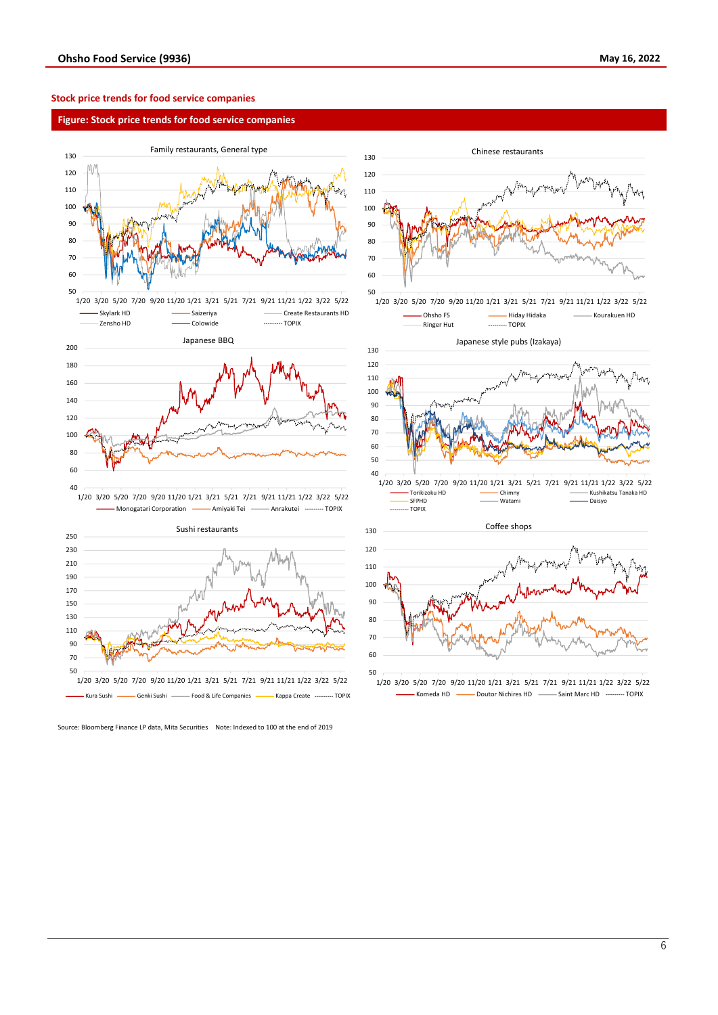# **Stock price trends for food service companies**

# **Figure: Stock price trends for food service companies**





Source: Bloomberg Finance LP data, Mita Securities Note: Indexed to 100 at the end of 2019



<sup>1/20</sup> 3/20 5/20 7/20 9/20 11/20 1/21 3/21 5/21 7/21 9/21 11/21 1/22 3/22 5/22 Komeda HD - Doutor Nichires HD - Saint Marc HD - DOPIX